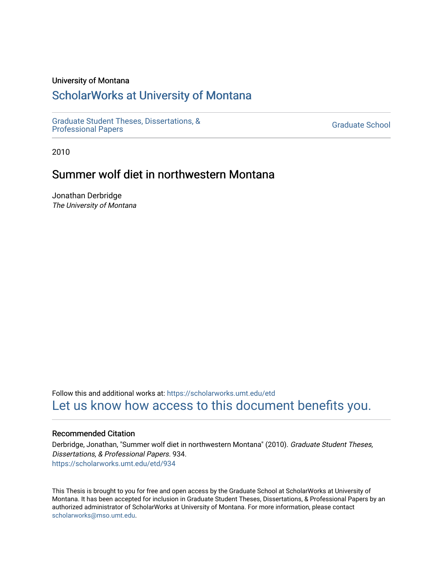#### University of Montana

# [ScholarWorks at University of Montana](https://scholarworks.umt.edu/)

[Graduate Student Theses, Dissertations, &](https://scholarworks.umt.edu/etd) Graduate Student Theses, Dissertations, & Canadia Control of Craduate School [Professional Papers](https://scholarworks.umt.edu/etd) Craduate School

2010

# Summer wolf diet in northwestern Montana

Jonathan Derbridge The University of Montana

Follow this and additional works at: [https://scholarworks.umt.edu/etd](https://scholarworks.umt.edu/etd?utm_source=scholarworks.umt.edu%2Fetd%2F934&utm_medium=PDF&utm_campaign=PDFCoverPages)  [Let us know how access to this document benefits you.](https://goo.gl/forms/s2rGfXOLzz71qgsB2) 

#### Recommended Citation

Derbridge, Jonathan, "Summer wolf diet in northwestern Montana" (2010). Graduate Student Theses, Dissertations, & Professional Papers. 934. [https://scholarworks.umt.edu/etd/934](https://scholarworks.umt.edu/etd/934?utm_source=scholarworks.umt.edu%2Fetd%2F934&utm_medium=PDF&utm_campaign=PDFCoverPages) 

This Thesis is brought to you for free and open access by the Graduate School at ScholarWorks at University of Montana. It has been accepted for inclusion in Graduate Student Theses, Dissertations, & Professional Papers by an authorized administrator of ScholarWorks at University of Montana. For more information, please contact [scholarworks@mso.umt.edu.](mailto:scholarworks@mso.umt.edu)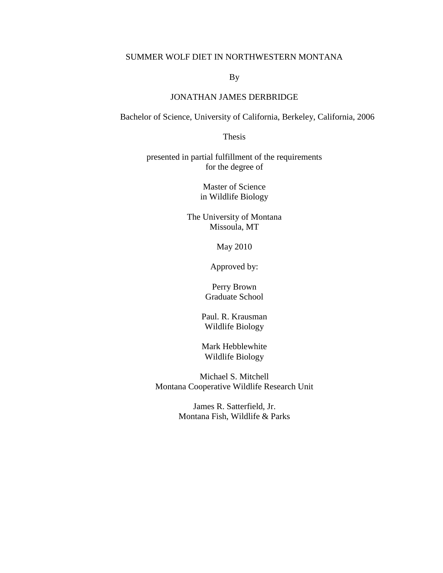## SUMMER WOLF DIET IN NORTHWESTERN MONTANA

By

## JONATHAN JAMES DERBRIDGE

Bachelor of Science, University of California, Berkeley, California, 2006

Thesis

presented in partial fulfillment of the requirements for the degree of

> Master of Science in Wildlife Biology

The University of Montana Missoula, MT

May 2010

Approved by:

Perry Brown Graduate School

Paul. R. Krausman Wildlife Biology

Mark Hebblewhite Wildlife Biology

Michael S. Mitchell Montana Cooperative Wildlife Research Unit

> James R. Satterfield, Jr. Montana Fish, Wildlife & Parks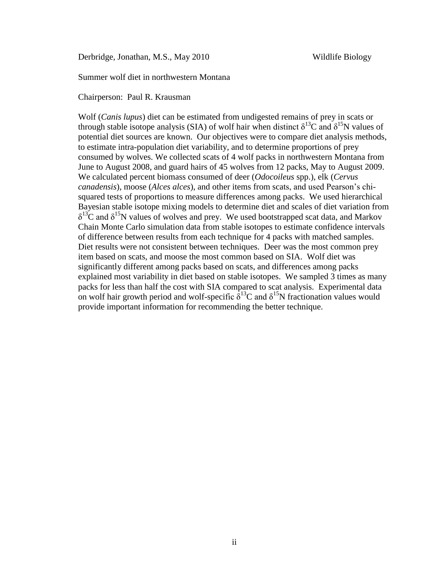Derbridge, Jonathan, M.S., May 2010 Wildlife Biology

Summer wolf diet in northwestern Montana

Chairperson: Paul R. Krausman

Wolf (*Canis lupus*) diet can be estimated from undigested remains of prey in scats or through stable isotope analysis (SIA) of wolf hair when distinct  $\delta^{13}C$  and  $\delta^{15}N$  values of potential diet sources are known. Our objectives were to compare diet analysis methods, to estimate intra-population diet variability, and to determine proportions of prey consumed by wolves. We collected scats of 4 wolf packs in northwestern Montana from June to August 2008, and guard hairs of 45 wolves from 12 packs, May to August 2009. We calculated percent biomass consumed of deer (*Odocoileus* spp.), elk (*Cervus canadensis*), moose (*Alces alces*), and other items from scats, and used Pearson's chisquared tests of proportions to measure differences among packs. We used hierarchical Bayesian stable isotope mixing models to determine diet and scales of diet variation from  $\delta^{13}$ C and  $\delta^{15}$ N values of wolves and prey. We used bootstrapped scat data, and Markov Chain Monte Carlo simulation data from stable isotopes to estimate confidence intervals of difference between results from each technique for 4 packs with matched samples. Diet results were not consistent between techniques. Deer was the most common prey item based on scats, and moose the most common based on SIA. Wolf diet was significantly different among packs based on scats, and differences among packs explained most variability in diet based on stable isotopes. We sampled 3 times as many packs for less than half the cost with SIA compared to scat analysis. Experimental data on wolf hair growth period and wolf-specific  $\delta^{13}$ C and  $\delta^{15}$ N fractionation values would provide important information for recommending the better technique.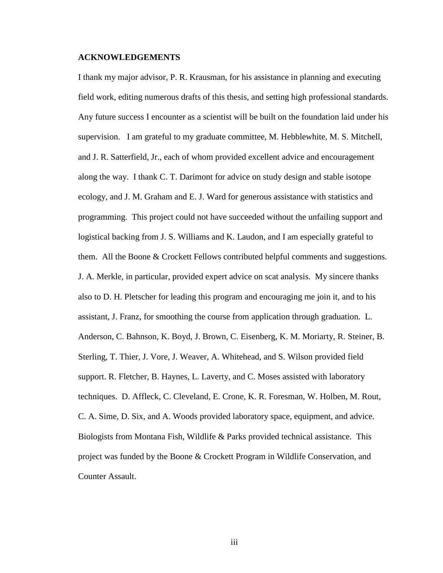#### **ACKNOWLEDGEMENTS**

I thank my major advisor, P. R. Krausman, for his assistance in planning and executing field work, editing numerous drafts of this thesis, and setting high professional standards. Any future success I encounter as a scientist will be built on the foundation laid under his supervision. I am grateful to my graduate committee, M. Hebblewhite, M. S. Mitchell, and J. R. Satterfield, Jr., each of whom provided excellent advice and encouragement along the way. I thank C. T. Darimont for advice on study design and stable isotope ecology, and J. M. Graham and E. J. Ward for generous assistance with statistics and programming. This project could not have succeeded without the unfailing support and logistical backing from J. S. Williams and K. Laudon, and I am especially grateful to them. All the Boone & Crockett Fellows contributed helpful comments and suggestions. J. A. Merkle, in particular, provided expert advice on scat analysis. My sincere thanks also to D. H. Pletscher for leading this program and encouraging me join it, and to his assistant, J. Franz, for smoothing the course from application through graduation. L. Anderson, C. Bahnson, K. Boyd, J. Brown, C. Eisenberg, K. M. Moriarty, R. Steiner, B. Sterling, T. Thier, J. Vore, J. Weaver, A. Whitehead, and S. Wilson provided field support. R. Fletcher, B. Haynes, L. Laverty, and C. Moses assisted with laboratory techniques. D. Affleck, C. Cleveland, E. Crone, K. R. Foresman, W. Holben, M. Rout, C. A. Sime, D. Six, and A. Woods provided laboratory space, equipment, and advice. Biologists from Montana Fish, Wildlife & Parks provided technical assistance. This project was funded by the Boone & Crockett Program in Wildlife Conservation, and Counter Assault.

iii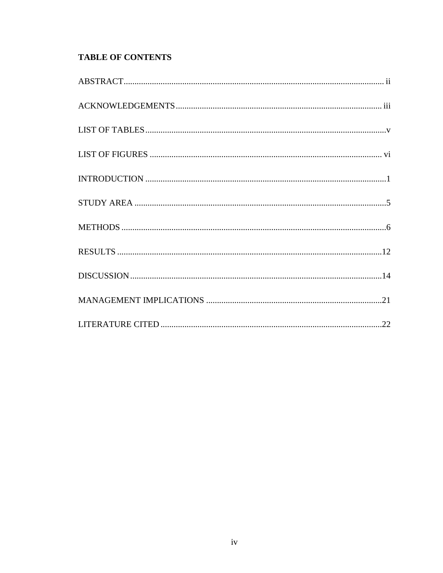# **TABLE OF CONTENTS**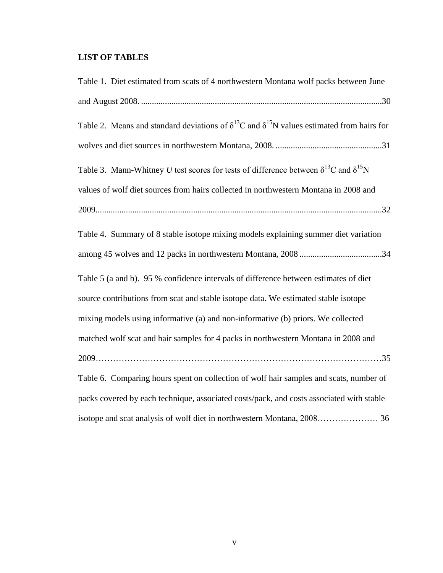# **LIST OF TABLES**

| Table 1. Diet estimated from scats of 4 northwestern Montana wolf packs between June                          |
|---------------------------------------------------------------------------------------------------------------|
|                                                                                                               |
| Table 2. Means and standard deviations of $\delta^{13}$ C and $\delta^{15}$ N values estimated from hairs for |
|                                                                                                               |
| Table 3. Mann-Whitney U test scores for tests of difference between $\delta^{13}C$ and $\delta^{15}N$         |
| values of wolf diet sources from hairs collected in northwestern Montana in 2008 and                          |
|                                                                                                               |
| Table 4. Summary of 8 stable isotope mixing models explaining summer diet variation                           |
|                                                                                                               |
| Table 5 (a and b). 95 % confidence intervals of difference between estimates of diet                          |
| source contributions from scat and stable isotope data. We estimated stable isotope                           |
| mixing models using informative (a) and non-informative (b) priors. We collected                              |
| matched wolf scat and hair samples for 4 packs in northwestern Montana in 2008 and                            |
|                                                                                                               |
| Table 6. Comparing hours spent on collection of wolf hair samples and scats, number of                        |
| packs covered by each technique, associated costs/pack, and costs associated with stable                      |
|                                                                                                               |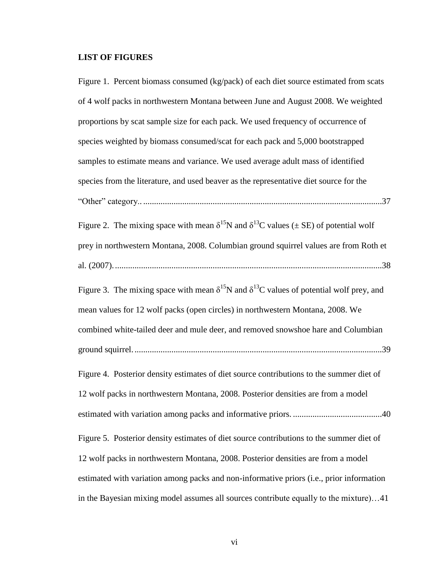#### **LIST OF FIGURES**

Figure 1. Percent biomass consumed (kg/pack) of each diet source estimated from scats of 4 wolf packs in northwestern Montana between June and August 2008. We weighted proportions by scat sample size for each pack. We used frequency of occurrence of species weighted by biomass consumed/scat for each pack and 5,000 bootstrapped samples to estimate means and variance. We used average adult mass of identified species from the literature, and used beaver as the representative diet source for the "Other" category.. ..............................................................................................................37 Figure 2. The mixing space with mean  $\delta^{15}N$  and  $\delta^{13}C$  values ( $\pm$  SE) of potential wolf

prey in northwestern Montana, 2008. Columbian ground squirrel values are from Roth et al. (2007)............................................................................................................................38

Figure 3. The mixing space with mean  $\delta^{15}N$  and  $\delta^{13}C$  values of potential wolf prey, and mean values for 12 wolf packs (open circles) in northwestern Montana, 2008. We combined white-tailed deer and mule deer, and removed snowshoe hare and Columbian ground squirrel...................................................................................................................39

Figure 4. Posterior density estimates of diet source contributions to the summer diet of 12 wolf packs in northwestern Montana, 2008. Posterior densities are from a model estimated with variation among packs and informative priors. .........................................40

Figure 5. Posterior density estimates of diet source contributions to the summer diet of 12 wolf packs in northwestern Montana, 2008. Posterior densities are from a model estimated with variation among packs and non-informative priors (i.e., prior information in the Bayesian mixing model assumes all sources contribute equally to the mixture)…41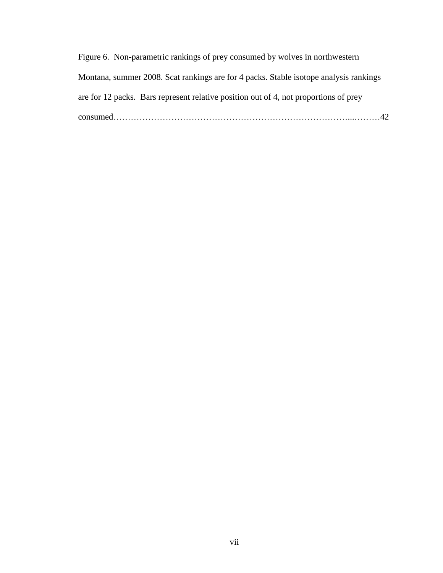| Figure 6. Non-parametric rankings of prey consumed by wolves in northwestern          |  |
|---------------------------------------------------------------------------------------|--|
| Montana, summer 2008. Scat rankings are for 4 packs. Stable isotope analysis rankings |  |
| are for 12 packs. Bars represent relative position out of 4, not proportions of prey  |  |
|                                                                                       |  |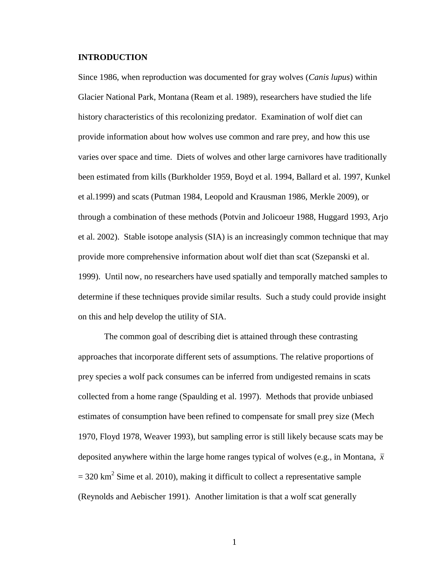#### **INTRODUCTION**

Since 1986, when reproduction was documented for gray wolves (*Canis lupus*) within Glacier National Park, Montana (Ream et al. 1989), researchers have studied the life history characteristics of this recolonizing predator. Examination of wolf diet can provide information about how wolves use common and rare prey, and how this use varies over space and time. Diets of wolves and other large carnivores have traditionally been estimated from kills (Burkholder 1959, Boyd et al. 1994, Ballard et al. 1997, Kunkel et al.1999) and scats (Putman 1984, Leopold and Krausman 1986, Merkle 2009), or through a combination of these methods (Potvin and Jolicoeur 1988, Huggard 1993, Arjo et al. 2002). Stable isotope analysis (SIA) is an increasingly common technique that may provide more comprehensive information about wolf diet than scat (Szepanski et al. 1999). Until now, no researchers have used spatially and temporally matched samples to determine if these techniques provide similar results. Such a study could provide insight on this and help develop the utility of SIA.

The common goal of describing diet is attained through these contrasting approaches that incorporate different sets of assumptions. The relative proportions of prey species a wolf pack consumes can be inferred from undigested remains in scats collected from a home range (Spaulding et al. 1997). Methods that provide unbiased estimates of consumption have been refined to compensate for small prey size (Mech 1970, Floyd 1978, Weaver 1993), but sampling error is still likely because scats may be deposited anywhere within the large home ranges typical of wolves (e.g., in Montana, *x*  $= 320$  km<sup>2</sup> Sime et al. 2010), making it difficult to collect a representative sample (Reynolds and Aebischer 1991). Another limitation is that a wolf scat generally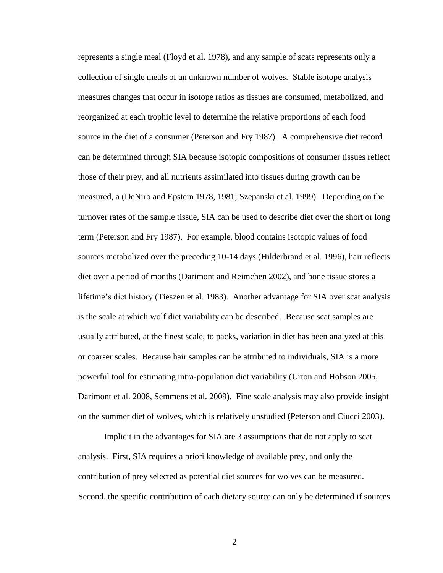represents a single meal (Floyd et al. 1978), and any sample of scats represents only a collection of single meals of an unknown number of wolves. Stable isotope analysis measures changes that occur in isotope ratios as tissues are consumed, metabolized, and reorganized at each trophic level to determine the relative proportions of each food source in the diet of a consumer (Peterson and Fry 1987). A comprehensive diet record can be determined through SIA because isotopic compositions of consumer tissues reflect those of their prey, and all nutrients assimilated into tissues during growth can be measured, a (DeNiro and Epstein 1978, 1981; Szepanski et al. 1999). Depending on the turnover rates of the sample tissue, SIA can be used to describe diet over the short or long term (Peterson and Fry 1987). For example, blood contains isotopic values of food sources metabolized over the preceding 10-14 days (Hilderbrand et al. 1996), hair reflects diet over a period of months (Darimont and Reimchen 2002), and bone tissue stores a lifetime's diet history (Tieszen et al. 1983). Another advantage for SIA over scat analysis is the scale at which wolf diet variability can be described. Because scat samples are usually attributed, at the finest scale, to packs, variation in diet has been analyzed at this or coarser scales. Because hair samples can be attributed to individuals, SIA is a more powerful tool for estimating intra-population diet variability (Urton and Hobson 2005, Darimont et al. 2008, Semmens et al. 2009). Fine scale analysis may also provide insight on the summer diet of wolves, which is relatively unstudied (Peterson and Ciucci 2003).

Implicit in the advantages for SIA are 3 assumptions that do not apply to scat analysis. First, SIA requires a priori knowledge of available prey, and only the contribution of prey selected as potential diet sources for wolves can be measured. Second, the specific contribution of each dietary source can only be determined if sources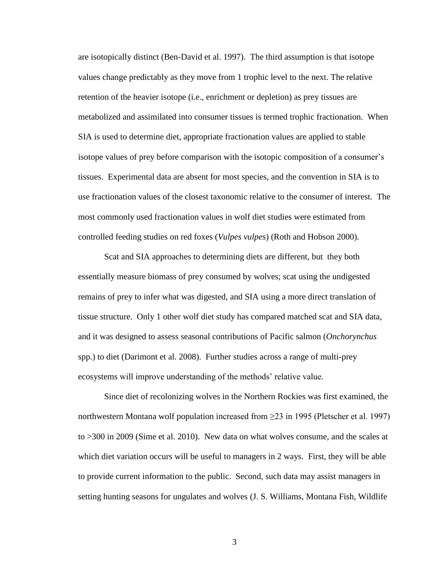are isotopically distinct (Ben-David et al. 1997). The third assumption is that isotope values change predictably as they move from 1 trophic level to the next. The relative retention of the heavier isotope (i.e., enrichment or depletion) as prey tissues are metabolized and assimilated into consumer tissues is termed trophic fractionation. When SIA is used to determine diet, appropriate fractionation values are applied to stable isotope values of prey before comparison with the isotopic composition of a consumer's tissues. Experimental data are absent for most species, and the convention in SIA is to use fractionation values of the closest taxonomic relative to the consumer of interest. The most commonly used fractionation values in wolf diet studies were estimated from controlled feeding studies on red foxes (*Vulpes vulpes*) (Roth and Hobson 2000).

Scat and SIA approaches to determining diets are different, but they both essentially measure biomass of prey consumed by wolves; scat using the undigested remains of prey to infer what was digested, and SIA using a more direct translation of tissue structure. Only 1 other wolf diet study has compared matched scat and SIA data, and it was designed to assess seasonal contributions of Pacific salmon (*Onchorynchus* spp.) to diet (Darimont et al. 2008). Further studies across a range of multi-prey ecosystems will improve understanding of the methods' relative value.

Since diet of recolonizing wolves in the Northern Rockies was first examined, the northwestern Montana wolf population increased from  $\geq$ 23 in 1995 (Pletscher et al. 1997) to >300 in 2009 (Sime et al. 2010). New data on what wolves consume, and the scales at which diet variation occurs will be useful to managers in 2 ways. First, they will be able to provide current information to the public. Second, such data may assist managers in setting hunting seasons for ungulates and wolves (J. S. Williams, Montana Fish, Wildlife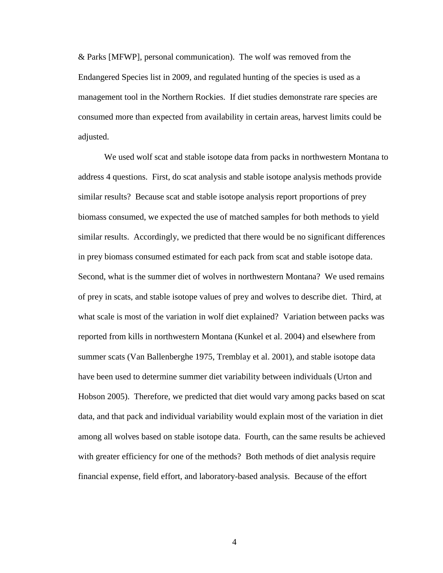& Parks [MFWP], personal communication). The wolf was removed from the Endangered Species list in 2009, and regulated hunting of the species is used as a management tool in the Northern Rockies. If diet studies demonstrate rare species are consumed more than expected from availability in certain areas, harvest limits could be adjusted.

We used wolf scat and stable isotope data from packs in northwestern Montana to address 4 questions. First, do scat analysis and stable isotope analysis methods provide similar results? Because scat and stable isotope analysis report proportions of prey biomass consumed, we expected the use of matched samples for both methods to yield similar results. Accordingly, we predicted that there would be no significant differences in prey biomass consumed estimated for each pack from scat and stable isotope data. Second, what is the summer diet of wolves in northwestern Montana? We used remains of prey in scats, and stable isotope values of prey and wolves to describe diet. Third, at what scale is most of the variation in wolf diet explained? Variation between packs was reported from kills in northwestern Montana (Kunkel et al. 2004) and elsewhere from summer scats (Van Ballenberghe 1975, Tremblay et al. 2001), and stable isotope data have been used to determine summer diet variability between individuals (Urton and Hobson 2005). Therefore, we predicted that diet would vary among packs based on scat data, and that pack and individual variability would explain most of the variation in diet among all wolves based on stable isotope data. Fourth, can the same results be achieved with greater efficiency for one of the methods? Both methods of diet analysis require financial expense, field effort, and laboratory-based analysis. Because of the effort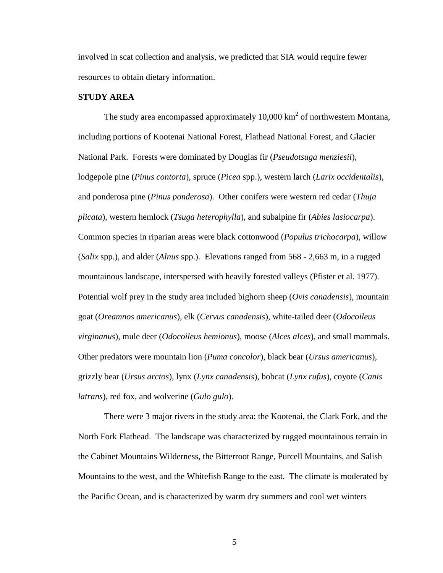involved in scat collection and analysis, we predicted that SIA would require fewer resources to obtain dietary information.

## **STUDY AREA**

The study area encompassed approximately 10,000  $\text{km}^2$  of northwestern Montana, including portions of Kootenai National Forest, Flathead National Forest, and Glacier National Park. Forests were dominated by Douglas fir (*Pseudotsuga menziesii*), lodgepole pine (*Pinus contorta*), spruce (*Picea* spp.), western larch (*Larix occidentalis*), and ponderosa pine (*Pinus ponderosa*). Other conifers were western red cedar (*Thuja plicata*), western hemlock (*Tsuga heterophylla*), and subalpine fir (*Abies lasiocarpa*). Common species in riparian areas were black cottonwood (*Populus trichocarpa*), willow (*Salix* spp.), and alder (*Alnus* spp.). Elevations ranged from 568 - 2,663 m, in a rugged mountainous landscape, interspersed with heavily forested valleys (Pfister et al. 1977). Potential wolf prey in the study area included bighorn sheep (*Ovis canadensis*), mountain goat (*Oreamnos americanus*), elk (*Cervus canadensis*), white-tailed deer (*Odocoileus virginanus*), mule deer (*Odocoileus hemionus*), moose (*Alces alces*), and small mammals. Other predators were mountain lion (*Puma concolor*), black bear (*Ursus americanus*), grizzly bear (*Ursus arctos*), lynx (*Lynx canadensis*), bobcat (*Lynx rufus*), coyote (*Canis latrans*), red fox, and wolverine (*Gulo gulo*).

There were 3 major rivers in the study area: the Kootenai, the Clark Fork, and the North Fork Flathead. The landscape was characterized by rugged mountainous terrain in the Cabinet Mountains Wilderness, the Bitterroot Range, Purcell Mountains, and Salish Mountains to the west, and the Whitefish Range to the east. The climate is moderated by the Pacific Ocean, and is characterized by warm dry summers and cool wet winters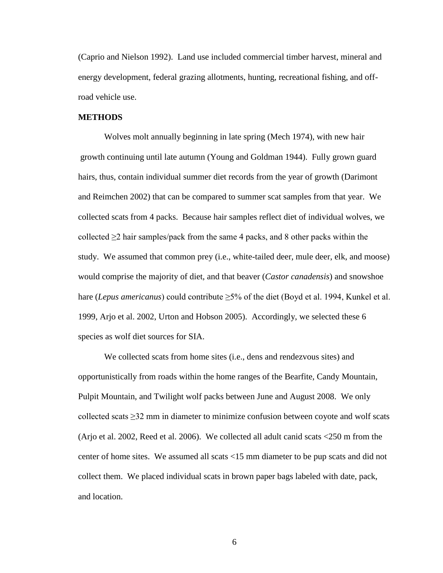(Caprio and Nielson 1992). Land use included commercial timber harvest, mineral and energy development, federal grazing allotments, hunting, recreational fishing, and offroad vehicle use.

#### **METHODS**

Wolves molt annually beginning in late spring (Mech 1974), with new hair growth continuing until late autumn (Young and Goldman 1944). Fully grown guard hairs, thus, contain individual summer diet records from the year of growth (Darimont and Reimchen 2002) that can be compared to summer scat samples from that year. We collected scats from 4 packs. Because hair samples reflect diet of individual wolves, we collected  $\geq 2$  hair samples/pack from the same 4 packs, and 8 other packs within the study. We assumed that common prey (i.e., white-tailed deer, mule deer, elk, and moose) would comprise the majority of diet, and that beaver (*Castor canadensis*) and snowshoe hare (*Lepus americanus*) could contribute ≥5% of the diet (Boyd et al. 1994, Kunkel et al. 1999, Arjo et al. 2002, Urton and Hobson 2005). Accordingly, we selected these 6 species as wolf diet sources for SIA.

We collected scats from home sites (i.e., dens and rendezvous sites) and opportunistically from roads within the home ranges of the Bearfite, Candy Mountain, Pulpit Mountain, and Twilight wolf packs between June and August 2008. We only collected scats  $\geq$ 32 mm in diameter to minimize confusion between coyote and wolf scats (Arjo et al. 2002, Reed et al. 2006). We collected all adult canid scats <250 m from the center of home sites. We assumed all scats <15 mm diameter to be pup scats and did not collect them. We placed individual scats in brown paper bags labeled with date, pack, and location.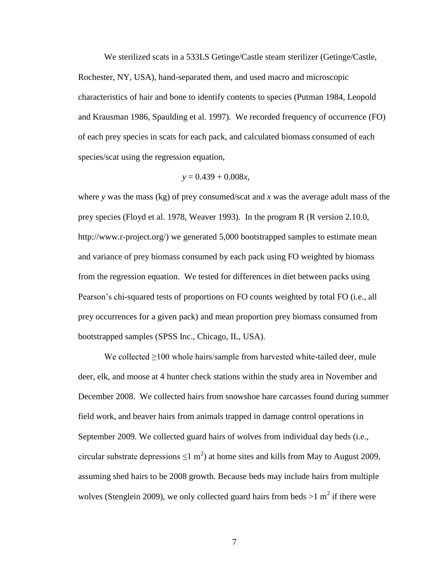We sterilized scats in a 533LS Getinge/Castle steam sterilizer (Getinge/Castle, Rochester, NY, USA), hand-separated them, and used macro and microscopic characteristics of hair and bone to identify contents to species (Putman 1984, Leopold and Krausman 1986, Spaulding et al. 1997). We recorded frequency of occurrence (FO) of each prey species in scats for each pack, and calculated biomass consumed of each species/scat using the regression equation,

$$
y = 0.439 + 0.008x,
$$

where *y* was the mass (kg) of prey consumed/scat and *x* was the average adult mass of the prey species (Floyd et al. 1978, Weaver 1993). In the program R (R version 2.10.0, http://www.r-project.org/) we generated 5,000 bootstrapped samples to estimate mean and variance of prey biomass consumed by each pack using FO weighted by biomass from the regression equation. We tested for differences in diet between packs using Pearson's chi-squared tests of proportions on FO counts weighted by total FO (i.e., all prey occurrences for a given pack) and mean proportion prey biomass consumed from bootstrapped samples (SPSS Inc., Chicago, IL, USA).

We collected ≥100 whole hairs/sample from harvested white-tailed deer, mule deer, elk, and moose at 4 hunter check stations within the study area in November and December 2008. We collected hairs from snowshoe hare carcasses found during summer field work, and beaver hairs from animals trapped in damage control operations in September 2009. We collected guard hairs of wolves from individual day beds (i.e., circular substrate depressions  $\leq 1$  m<sup>2</sup>) at home sites and kills from May to August 2009, assuming shed hairs to be 2008 growth. Because beds may include hairs from multiple wolves (Stenglein 2009), we only collected guard hairs from beds  $>1$  m<sup>2</sup> if there were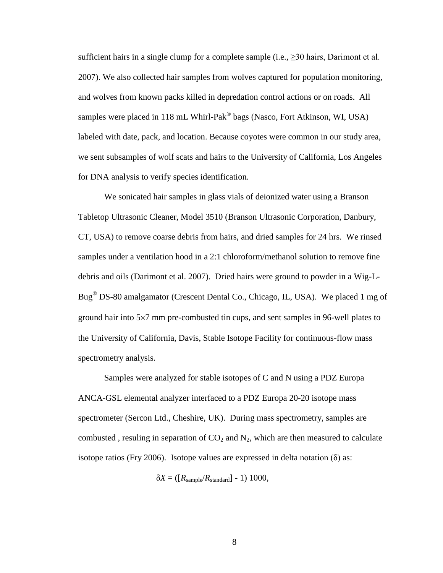sufficient hairs in a single clump for a complete sample (i.e.,  $\geq 30$  hairs, Darimont et al. 2007). We also collected hair samples from wolves captured for population monitoring, and wolves from known packs killed in depredation control actions or on roads. All samples were placed in 118 mL Whirl-Pak $^{\circledR}$  bags (Nasco, Fort Atkinson, WI, USA) labeled with date, pack, and location. Because coyotes were common in our study area, we sent subsamples of wolf scats and hairs to the University of California, Los Angeles for DNA analysis to verify species identification.

We sonicated hair samples in glass vials of deionized water using a Branson Tabletop Ultrasonic Cleaner, Model 3510 (Branson Ultrasonic Corporation, Danbury, CT, USA) to remove coarse debris from hairs, and dried samples for 24 hrs. We rinsed samples under a ventilation hood in a 2:1 chloroform/methanol solution to remove fine debris and oils (Darimont et al. 2007). Dried hairs were ground to powder in a Wig-L-Bug® DS-80 amalgamator (Crescent Dental Co., Chicago, IL, USA). We placed 1 mg of ground hair into  $5\times7$  mm pre-combusted tin cups, and sent samples in 96-well plates to the University of California, Davis, Stable Isotope Facility for continuous-flow mass spectrometry analysis.

Samples were analyzed for stable isotopes of C and N using a PDZ Europa ANCA-GSL elemental analyzer interfaced to a PDZ Europa 20-20 isotope mass spectrometer (Sercon Ltd., Cheshire, UK). During mass spectrometry, samples are combusted, resuling in separation of  $CO<sub>2</sub>$  and  $N<sub>2</sub>$ , which are then measured to calculate isotope ratios (Fry 2006). Isotope values are expressed in delta notation  $(\delta)$  as:

 $\delta X = (R_{\text{sample}}/R_{\text{standard}}] - 1)$  1000,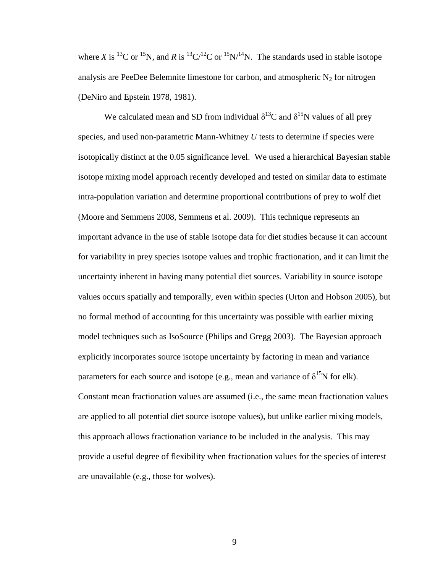where *X* is <sup>13</sup>C or <sup>15</sup>N, and *R* is <sup>13</sup>C/<sup>12</sup>C or <sup>15</sup>N/<sup>14</sup>N. The standards used in stable isotope analysis are PeeDee Belemnite limestone for carbon, and atmospheric  $N_2$  for nitrogen (DeNiro and Epstein 1978, 1981).

We calculated mean and SD from individual  $\delta^{13}C$  and  $\delta^{15}N$  values of all prey species, and used non-parametric Mann-Whitney *U* tests to determine if species were isotopically distinct at the 0.05 significance level. We used a hierarchical Bayesian stable isotope mixing model approach recently developed and tested on similar data to estimate intra-population variation and determine proportional contributions of prey to wolf diet (Moore and Semmens 2008, Semmens et al. 2009). This technique represents an important advance in the use of stable isotope data for diet studies because it can account for variability in prey species isotope values and trophic fractionation, and it can limit the uncertainty inherent in having many potential diet sources. Variability in source isotope values occurs spatially and temporally, even within species (Urton and Hobson 2005), but no formal method of accounting for this uncertainty was possible with earlier mixing model techniques such as IsoSource (Philips and Gregg 2003). The Bayesian approach explicitly incorporates source isotope uncertainty by factoring in mean and variance parameters for each source and isotope (e.g., mean and variance of  $\delta^{15}N$  for elk). Constant mean fractionation values are assumed (i.e., the same mean fractionation values are applied to all potential diet source isotope values), but unlike earlier mixing models, this approach allows fractionation variance to be included in the analysis. This may provide a useful degree of flexibility when fractionation values for the species of interest are unavailable (e.g., those for wolves).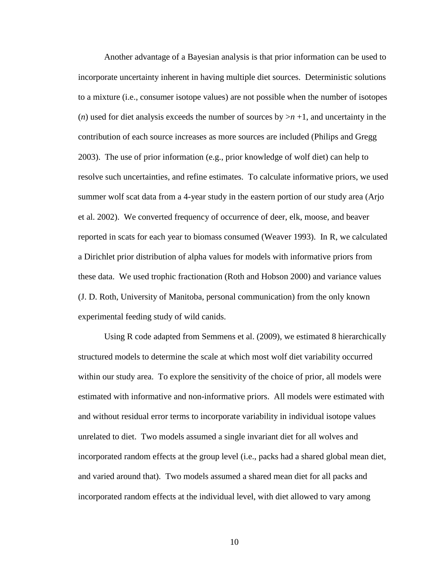Another advantage of a Bayesian analysis is that prior information can be used to incorporate uncertainty inherent in having multiple diet sources. Deterministic solutions to a mixture (i.e., consumer isotope values) are not possible when the number of isotopes (*n*) used for diet analysis exceeds the number of sources by  $>n+1$ , and uncertainty in the contribution of each source increases as more sources are included (Philips and Gregg 2003). The use of prior information (e.g., prior knowledge of wolf diet) can help to resolve such uncertainties, and refine estimates. To calculate informative priors, we used summer wolf scat data from a 4-year study in the eastern portion of our study area (Arjo et al. 2002). We converted frequency of occurrence of deer, elk, moose, and beaver reported in scats for each year to biomass consumed (Weaver 1993). In R, we calculated a Dirichlet prior distribution of alpha values for models with informative priors from these data. We used trophic fractionation (Roth and Hobson 2000) and variance values (J. D. Roth, University of Manitoba, personal communication) from the only known experimental feeding study of wild canids.

Using R code adapted from Semmens et al. (2009), we estimated 8 hierarchically structured models to determine the scale at which most wolf diet variability occurred within our study area. To explore the sensitivity of the choice of prior, all models were estimated with informative and non-informative priors. All models were estimated with and without residual error terms to incorporate variability in individual isotope values unrelated to diet. Two models assumed a single invariant diet for all wolves and incorporated random effects at the group level (i.e., packs had a shared global mean diet, and varied around that). Two models assumed a shared mean diet for all packs and incorporated random effects at the individual level, with diet allowed to vary among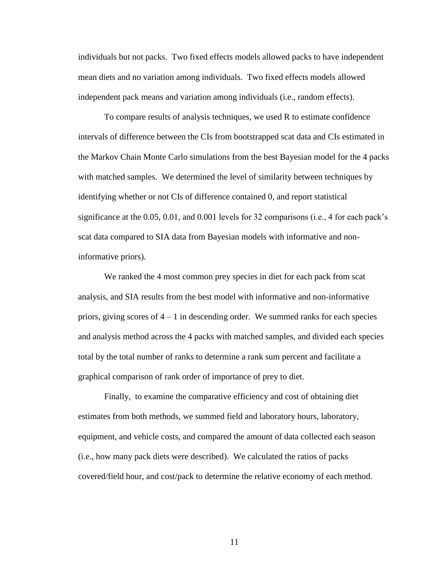individuals but not packs. Two fixed effects models allowed packs to have independent mean diets and no variation among individuals. Two fixed effects models allowed independent pack means and variation among individuals (i.e., random effects).

To compare results of analysis techniques, we used R to estimate confidence intervals of difference between the CIs from bootstrapped scat data and CIs estimated in the Markov Chain Monte Carlo simulations from the best Bayesian model for the 4 packs with matched samples. We determined the level of similarity between techniques by identifying whether or not CIs of difference contained 0, and report statistical significance at the 0.05, 0.01, and 0.001 levels for 32 comparisons (i.e., 4 for each pack's scat data compared to SIA data from Bayesian models with informative and noninformative priors).

We ranked the 4 most common prey species in diet for each pack from scat analysis, and SIA results from the best model with informative and non-informative priors, giving scores of  $4 - 1$  in descending order. We summed ranks for each species and analysis method across the 4 packs with matched samples, and divided each species total by the total number of ranks to determine a rank sum percent and facilitate a graphical comparison of rank order of importance of prey to diet.

Finally, to examine the comparative efficiency and cost of obtaining diet estimates from both methods, we summed field and laboratory hours, laboratory, equipment, and vehicle costs, and compared the amount of data collected each season (i.e., how many pack diets were described). We calculated the ratios of packs covered/field hour, and cost/pack to determine the relative economy of each method.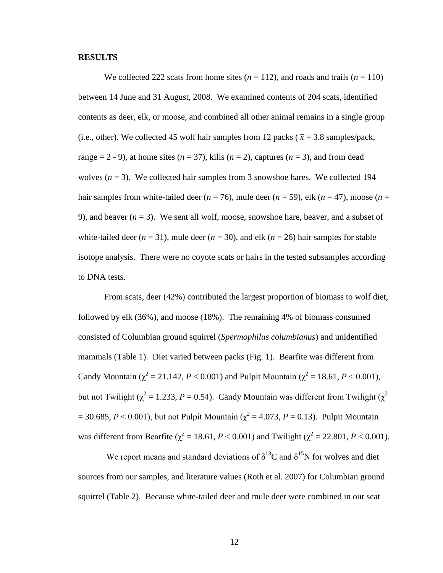#### **RESULTS**

We collected 222 scats from home sites  $(n = 112)$ , and roads and trails  $(n = 110)$ between 14 June and 31 August, 2008. We examined contents of 204 scats, identified contents as deer, elk, or moose, and combined all other animal remains in a single group (i.e., other). We collected 45 wolf hair samples from 12 packs ( $\bar{x}$  = 3.8 samples/pack, range  $= 2 - 9$ ), at home sites ( $n = 37$ ), kills ( $n = 2$ ), captures ( $n = 3$ ), and from dead wolves  $(n = 3)$ . We collected hair samples from 3 snowshoe hares. We collected 194 hair samples from white-tailed deer  $(n = 76)$ , mule deer  $(n = 59)$ , elk  $(n = 47)$ , moose  $(n = 17)$ 9), and beaver  $(n = 3)$ . We sent all wolf, moose, snowshoe hare, beaver, and a subset of white-tailed deer  $(n = 31)$ , mule deer  $(n = 30)$ , and elk  $(n = 26)$  hair samples for stable isotope analysis. There were no coyote scats or hairs in the tested subsamples according to DNA tests.

From scats, deer (42%) contributed the largest proportion of biomass to wolf diet, followed by elk (36%), and moose (18%). The remaining 4% of biomass consumed consisted of Columbian ground squirrel (*Spermophilus columbianus*) and unidentified mammals (Table 1). Diet varied between packs (Fig. 1). Bearfite was different from Candy Mountain ( $\chi^2 = 21.142$ ,  $P < 0.001$ ) and Pulpit Mountain ( $\chi^2 = 18.61$ ,  $P < 0.001$ ), but not Twilight ( $\chi^2$  = 1.233, *P* = 0.54). Candy Mountain was different from Twilight ( $\chi^2$ )  $= 30.685, P < 0.001$ ), but not Pulpit Mountain ( $\chi^2 = 4.073, P = 0.13$ ). Pulpit Mountain was different from Bearfite ( $\chi^2 = 18.61$ ,  $P < 0.001$ ) and Twilight ( $\chi^2 = 22.801$ ,  $P < 0.001$ ).

We report means and standard deviations of  $\delta^{13}C$  and  $\delta^{15}N$  for wolves and diet sources from our samples, and literature values (Roth et al. 2007) for Columbian ground squirrel (Table 2). Because white-tailed deer and mule deer were combined in our scat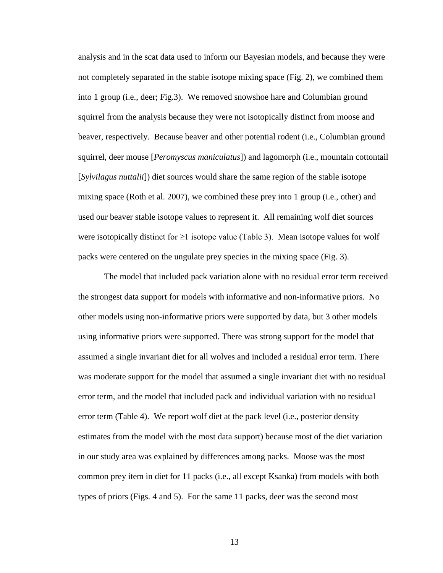analysis and in the scat data used to inform our Bayesian models, and because they were not completely separated in the stable isotope mixing space (Fig. 2), we combined them into 1 group (i.e., deer; Fig.3). We removed snowshoe hare and Columbian ground squirrel from the analysis because they were not isotopically distinct from moose and beaver, respectively. Because beaver and other potential rodent (i.e., Columbian ground squirrel, deer mouse [*Peromyscus maniculatus*]) and lagomorph (i.e., mountain cottontail [*Sylvilagus nuttalii*]) diet sources would share the same region of the stable isotope mixing space (Roth et al. 2007), we combined these prey into 1 group (i.e., other) and used our beaver stable isotope values to represent it. All remaining wolf diet sources were isotopically distinct for  $\geq 1$  isotope value (Table 3). Mean isotope values for wolf packs were centered on the ungulate prey species in the mixing space (Fig. 3).

The model that included pack variation alone with no residual error term received the strongest data support for models with informative and non-informative priors. No other models using non-informative priors were supported by data, but 3 other models using informative priors were supported. There was strong support for the model that assumed a single invariant diet for all wolves and included a residual error term. There was moderate support for the model that assumed a single invariant diet with no residual error term, and the model that included pack and individual variation with no residual error term (Table 4). We report wolf diet at the pack level (i.e., posterior density estimates from the model with the most data support) because most of the diet variation in our study area was explained by differences among packs. Moose was the most common prey item in diet for 11 packs (i.e., all except Ksanka) from models with both types of priors (Figs. 4 and 5). For the same 11 packs, deer was the second most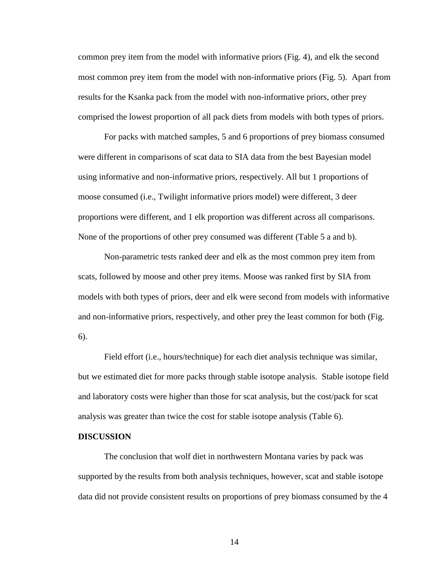common prey item from the model with informative priors (Fig. 4), and elk the second most common prey item from the model with non-informative priors (Fig. 5). Apart from results for the Ksanka pack from the model with non-informative priors, other prey comprised the lowest proportion of all pack diets from models with both types of priors.

For packs with matched samples, 5 and 6 proportions of prey biomass consumed were different in comparisons of scat data to SIA data from the best Bayesian model using informative and non-informative priors, respectively. All but 1 proportions of moose consumed (i.e., Twilight informative priors model) were different, 3 deer proportions were different, and 1 elk proportion was different across all comparisons. None of the proportions of other prey consumed was different (Table 5 a and b).

Non-parametric tests ranked deer and elk as the most common prey item from scats, followed by moose and other prey items. Moose was ranked first by SIA from models with both types of priors, deer and elk were second from models with informative and non-informative priors, respectively, and other prey the least common for both (Fig. 6).

Field effort (i.e., hours/technique) for each diet analysis technique was similar, but we estimated diet for more packs through stable isotope analysis. Stable isotope field and laboratory costs were higher than those for scat analysis, but the cost/pack for scat analysis was greater than twice the cost for stable isotope analysis (Table 6).

#### **DISCUSSION**

The conclusion that wolf diet in northwestern Montana varies by pack was supported by the results from both analysis techniques, however, scat and stable isotope data did not provide consistent results on proportions of prey biomass consumed by the 4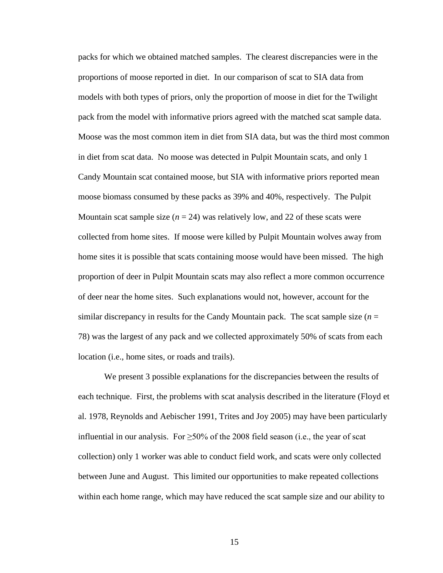packs for which we obtained matched samples. The clearest discrepancies were in the proportions of moose reported in diet. In our comparison of scat to SIA data from models with both types of priors, only the proportion of moose in diet for the Twilight pack from the model with informative priors agreed with the matched scat sample data. Moose was the most common item in diet from SIA data, but was the third most common in diet from scat data. No moose was detected in Pulpit Mountain scats, and only 1 Candy Mountain scat contained moose, but SIA with informative priors reported mean moose biomass consumed by these packs as 39% and 40%, respectively. The Pulpit Mountain scat sample size  $(n = 24)$  was relatively low, and 22 of these scats were collected from home sites. If moose were killed by Pulpit Mountain wolves away from home sites it is possible that scats containing moose would have been missed. The high proportion of deer in Pulpit Mountain scats may also reflect a more common occurrence of deer near the home sites. Such explanations would not, however, account for the similar discrepancy in results for the Candy Mountain pack. The scat sample size  $(n = 1)$ 78) was the largest of any pack and we collected approximately 50% of scats from each location (i.e., home sites, or roads and trails).

We present 3 possible explanations for the discrepancies between the results of each technique. First, the problems with scat analysis described in the literature (Floyd et al. 1978, Reynolds and Aebischer 1991, Trites and Joy 2005) may have been particularly influential in our analysis. For  $\geq$ 50% of the 2008 field season (i.e., the year of scat collection) only 1 worker was able to conduct field work, and scats were only collected between June and August. This limited our opportunities to make repeated collections within each home range, which may have reduced the scat sample size and our ability to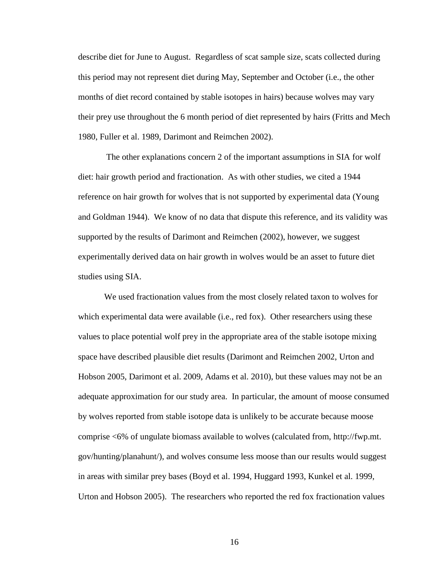describe diet for June to August. Regardless of scat sample size, scats collected during this period may not represent diet during May, September and October (i.e., the other months of diet record contained by stable isotopes in hairs) because wolves may vary their prey use throughout the 6 month period of diet represented by hairs (Fritts and Mech 1980, Fuller et al. 1989, Darimont and Reimchen 2002).

The other explanations concern 2 of the important assumptions in SIA for wolf diet: hair growth period and fractionation. As with other studies, we cited a 1944 reference on hair growth for wolves that is not supported by experimental data (Young and Goldman 1944). We know of no data that dispute this reference, and its validity was supported by the results of Darimont and Reimchen (2002), however, we suggest experimentally derived data on hair growth in wolves would be an asset to future diet studies using SIA.

We used fractionation values from the most closely related taxon to wolves for which experimental data were available (i.e., red fox). Other researchers using these values to place potential wolf prey in the appropriate area of the stable isotope mixing space have described plausible diet results (Darimont and Reimchen 2002, Urton and Hobson 2005, Darimont et al. 2009, Adams et al. 2010), but these values may not be an adequate approximation for our study area. In particular, the amount of moose consumed by wolves reported from stable isotope data is unlikely to be accurate because moose comprise <6% of ungulate biomass available to wolves (calculated from, http://fwp.mt. gov/hunting/planahunt/), and wolves consume less moose than our results would suggest in areas with similar prey bases (Boyd et al. 1994, Huggard 1993, Kunkel et al. 1999, Urton and Hobson 2005). The researchers who reported the red fox fractionation values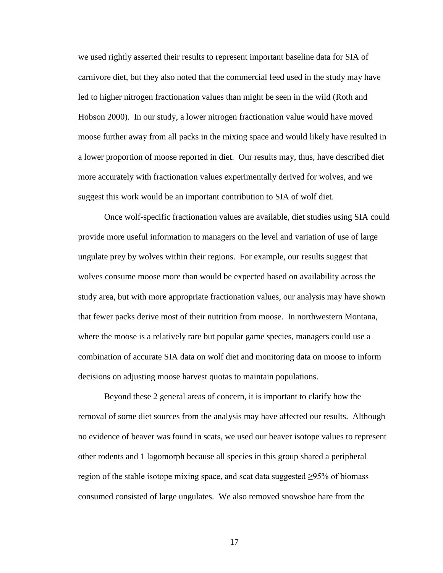we used rightly asserted their results to represent important baseline data for SIA of carnivore diet, but they also noted that the commercial feed used in the study may have led to higher nitrogen fractionation values than might be seen in the wild (Roth and Hobson 2000). In our study, a lower nitrogen fractionation value would have moved moose further away from all packs in the mixing space and would likely have resulted in a lower proportion of moose reported in diet. Our results may, thus, have described diet more accurately with fractionation values experimentally derived for wolves, and we suggest this work would be an important contribution to SIA of wolf diet.

Once wolf-specific fractionation values are available, diet studies using SIA could provide more useful information to managers on the level and variation of use of large ungulate prey by wolves within their regions. For example, our results suggest that wolves consume moose more than would be expected based on availability across the study area, but with more appropriate fractionation values, our analysis may have shown that fewer packs derive most of their nutrition from moose. In northwestern Montana, where the moose is a relatively rare but popular game species, managers could use a combination of accurate SIA data on wolf diet and monitoring data on moose to inform decisions on adjusting moose harvest quotas to maintain populations.

Beyond these 2 general areas of concern, it is important to clarify how the removal of some diet sources from the analysis may have affected our results. Although no evidence of beaver was found in scats, we used our beaver isotope values to represent other rodents and 1 lagomorph because all species in this group shared a peripheral region of the stable isotope mixing space, and scat data suggested ≥95% of biomass consumed consisted of large ungulates. We also removed snowshoe hare from the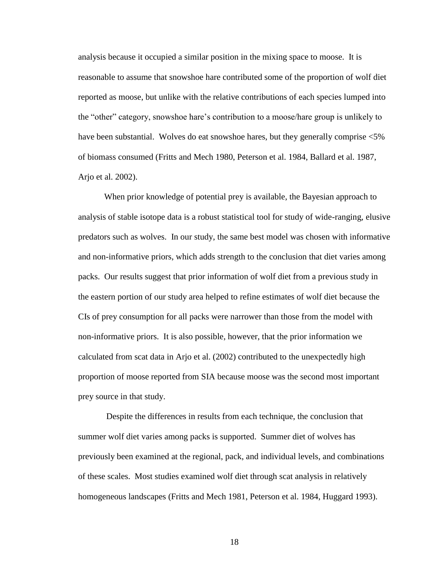analysis because it occupied a similar position in the mixing space to moose. It is reasonable to assume that snowshoe hare contributed some of the proportion of wolf diet reported as moose, but unlike with the relative contributions of each species lumped into the "other" category, snowshoe hare's contribution to a moose/hare group is unlikely to have been substantial. Wolves do eat snowshoe hares, but they generally comprise <5% of biomass consumed (Fritts and Mech 1980, Peterson et al. 1984, Ballard et al. 1987, Arjo et al. 2002).

When prior knowledge of potential prey is available, the Bayesian approach to analysis of stable isotope data is a robust statistical tool for study of wide-ranging, elusive predators such as wolves. In our study, the same best model was chosen with informative and non-informative priors, which adds strength to the conclusion that diet varies among packs. Our results suggest that prior information of wolf diet from a previous study in the eastern portion of our study area helped to refine estimates of wolf diet because the CIs of prey consumption for all packs were narrower than those from the model with non-informative priors. It is also possible, however, that the prior information we calculated from scat data in Arjo et al. (2002) contributed to the unexpectedly high proportion of moose reported from SIA because moose was the second most important prey source in that study.

Despite the differences in results from each technique, the conclusion that summer wolf diet varies among packs is supported. Summer diet of wolves has previously been examined at the regional, pack, and individual levels, and combinations of these scales. Most studies examined wolf diet through scat analysis in relatively homogeneous landscapes (Fritts and Mech 1981, Peterson et al. 1984, Huggard 1993).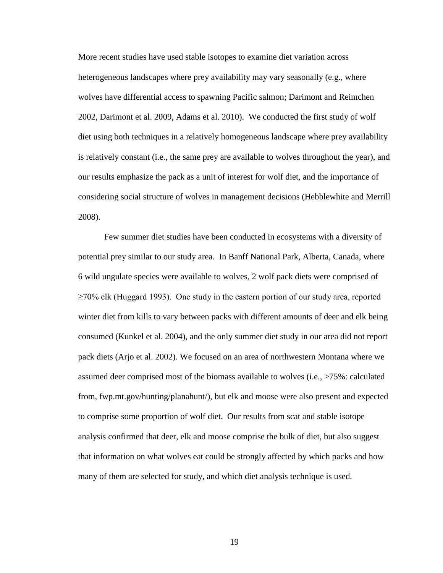More recent studies have used stable isotopes to examine diet variation across heterogeneous landscapes where prey availability may vary seasonally (e.g., where wolves have differential access to spawning Pacific salmon; Darimont and Reimchen 2002, Darimont et al. 2009, Adams et al. 2010). We conducted the first study of wolf diet using both techniques in a relatively homogeneous landscape where prey availability is relatively constant (i.e., the same prey are available to wolves throughout the year), and our results emphasize the pack as a unit of interest for wolf diet, and the importance of considering social structure of wolves in management decisions (Hebblewhite and Merrill 2008).

Few summer diet studies have been conducted in ecosystems with a diversity of potential prey similar to our study area. In Banff National Park, Alberta, Canada, where 6 wild ungulate species were available to wolves, 2 wolf pack diets were comprised of  $\geq$ 70% elk (Huggard 1993). One study in the eastern portion of our study area, reported winter diet from kills to vary between packs with different amounts of deer and elk being consumed (Kunkel et al. 2004), and the only summer diet study in our area did not report pack diets (Arjo et al. 2002). We focused on an area of northwestern Montana where we assumed deer comprised most of the biomass available to wolves (i.e., >75%: calculated from, fwp.mt.gov/hunting/planahunt/), but elk and moose were also present and expected to comprise some proportion of wolf diet. Our results from scat and stable isotope analysis confirmed that deer, elk and moose comprise the bulk of diet, but also suggest that information on what wolves eat could be strongly affected by which packs and how many of them are selected for study, and which diet analysis technique is used.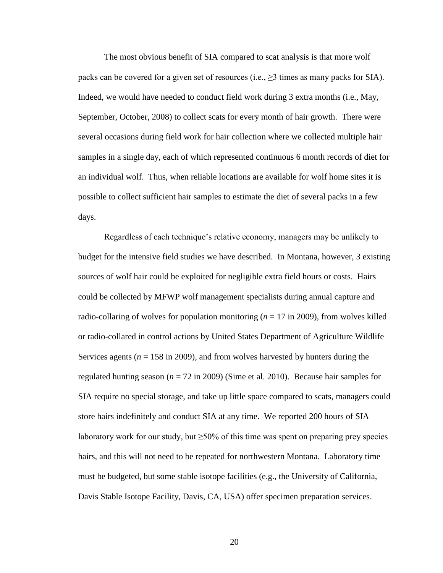The most obvious benefit of SIA compared to scat analysis is that more wolf packs can be covered for a given set of resources (i.e.,  $\geq$ 3 times as many packs for SIA). Indeed, we would have needed to conduct field work during 3 extra months (i.e., May, September, October, 2008) to collect scats for every month of hair growth. There were several occasions during field work for hair collection where we collected multiple hair samples in a single day, each of which represented continuous 6 month records of diet for an individual wolf. Thus, when reliable locations are available for wolf home sites it is possible to collect sufficient hair samples to estimate the diet of several packs in a few days.

Regardless of each technique's relative economy, managers may be unlikely to budget for the intensive field studies we have described. In Montana, however, 3 existing sources of wolf hair could be exploited for negligible extra field hours or costs. Hairs could be collected by MFWP wolf management specialists during annual capture and radio-collaring of wolves for population monitoring  $(n = 17 \text{ in } 2009)$ , from wolves killed or radio-collared in control actions by United States Department of Agriculture Wildlife Services agents ( $n = 158$  in 2009), and from wolves harvested by hunters during the regulated hunting season ( $n = 72$  in 2009) (Sime et al. 2010). Because hair samples for SIA require no special storage, and take up little space compared to scats, managers could store hairs indefinitely and conduct SIA at any time. We reported 200 hours of SIA laboratory work for our study, but  $\geq$ 50% of this time was spent on preparing prey species hairs, and this will not need to be repeated for northwestern Montana. Laboratory time must be budgeted, but some stable isotope facilities (e.g., the University of California, Davis Stable Isotope Facility, Davis, CA, USA) offer specimen preparation services.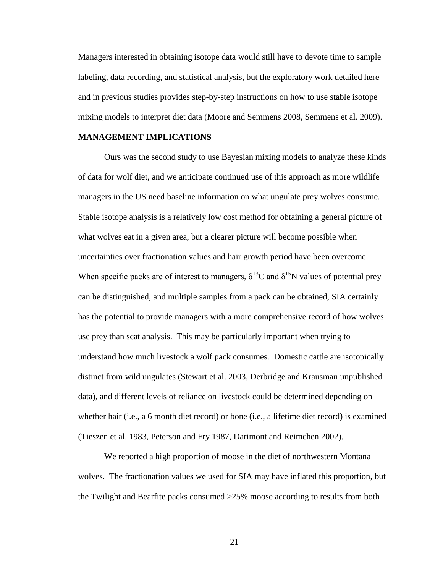Managers interested in obtaining isotope data would still have to devote time to sample labeling, data recording, and statistical analysis, but the exploratory work detailed here and in previous studies provides step-by-step instructions on how to use stable isotope mixing models to interpret diet data (Moore and Semmens 2008, Semmens et al. 2009).

## **MANAGEMENT IMPLICATIONS**

Ours was the second study to use Bayesian mixing models to analyze these kinds of data for wolf diet, and we anticipate continued use of this approach as more wildlife managers in the US need baseline information on what ungulate prey wolves consume. Stable isotope analysis is a relatively low cost method for obtaining a general picture of what wolves eat in a given area, but a clearer picture will become possible when uncertainties over fractionation values and hair growth period have been overcome. When specific packs are of interest to managers,  $\delta^{13}C$  and  $\delta^{15}N$  values of potential prey can be distinguished, and multiple samples from a pack can be obtained, SIA certainly has the potential to provide managers with a more comprehensive record of how wolves use prey than scat analysis. This may be particularly important when trying to understand how much livestock a wolf pack consumes. Domestic cattle are isotopically distinct from wild ungulates (Stewart et al. 2003, Derbridge and Krausman unpublished data), and different levels of reliance on livestock could be determined depending on whether hair (i.e., a 6 month diet record) or bone (i.e., a lifetime diet record) is examined (Tieszen et al. 1983, Peterson and Fry 1987, Darimont and Reimchen 2002).

We reported a high proportion of moose in the diet of northwestern Montana wolves. The fractionation values we used for SIA may have inflated this proportion, but the Twilight and Bearfite packs consumed >25% moose according to results from both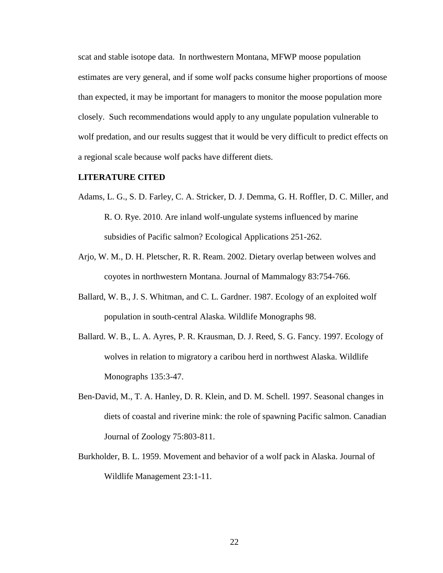scat and stable isotope data. In northwestern Montana, MFWP moose population estimates are very general, and if some wolf packs consume higher proportions of moose than expected, it may be important for managers to monitor the moose population more closely. Such recommendations would apply to any ungulate population vulnerable to wolf predation, and our results suggest that it would be very difficult to predict effects on a regional scale because wolf packs have different diets.

#### **LITERATURE CITED**

- Adams, L. G., S. D. Farley, C. A. Stricker, D. J. Demma, G. H. Roffler, D. C. Miller, and R. O. Rye. 2010. Are inland wolf-ungulate systems influenced by marine subsidies of Pacific salmon? Ecological Applications 251-262.
- Arjo, W. M., D. H. Pletscher, R. R. Ream. 2002. Dietary overlap between wolves and coyotes in northwestern Montana. Journal of Mammalogy 83:754-766.
- Ballard, W. B., J. S. Whitman, and C. L. Gardner. 1987. Ecology of an exploited wolf population in south-central Alaska. Wildlife Monographs 98.
- Ballard. W. B., L. A. Ayres, P. R. Krausman, D. J. Reed, S. G. Fancy. 1997. Ecology of wolves in relation to migratory a caribou herd in northwest Alaska. Wildlife Monographs 135:3-47.
- Ben-David, M., T. A. Hanley, D. R. Klein, and D. M. Schell. 1997. Seasonal changes in diets of coastal and riverine mink: the role of spawning Pacific salmon. Canadian Journal of Zoology 75:803-811.
- Burkholder, B. L. 1959. Movement and behavior of a wolf pack in Alaska. Journal of Wildlife Management 23:1-11.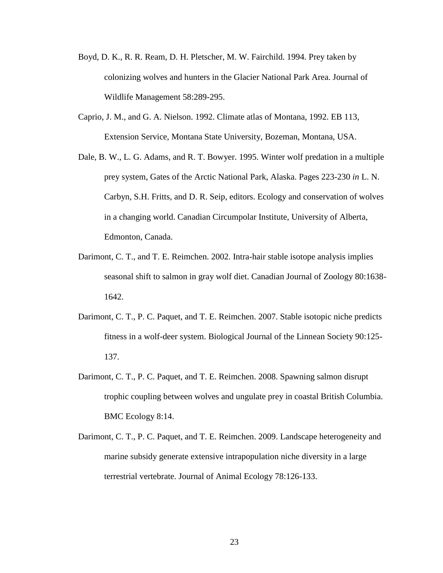- Boyd, D. K., R. R. Ream, D. H. Pletscher, M. W. Fairchild. 1994. Prey taken by colonizing wolves and hunters in the Glacier National Park Area. Journal of Wildlife Management 58:289-295.
- Caprio, J. M., and G. A. Nielson. 1992. Climate atlas of Montana, 1992. EB 113, Extension Service, Montana State University, Bozeman, Montana, USA.
- Dale, B. W., L. G. Adams, and R. T. Bowyer. 1995. Winter wolf predation in a multiple prey system, Gates of the Arctic National Park, Alaska. Pages 223-230 *in* L. N. Carbyn, S.H. Fritts, and D. R. Seip, editors. Ecology and conservation of wolves in a changing world. Canadian Circumpolar Institute, University of Alberta, Edmonton, Canada.
- Darimont, C. T., and T. E. Reimchen. 2002. Intra-hair stable isotope analysis implies seasonal shift to salmon in gray wolf diet. Canadian Journal of Zoology 80:1638- 1642.
- Darimont, C. T., P. C. Paquet, and T. E. Reimchen. 2007. Stable isotopic niche predicts fitness in a wolf-deer system. Biological Journal of the Linnean Society 90:125- 137.
- Darimont, C. T., P. C. Paquet, and T. E. Reimchen. 2008. Spawning salmon disrupt trophic coupling between wolves and ungulate prey in coastal British Columbia. BMC Ecology 8:14.
- Darimont, C. T., P. C. Paquet, and T. E. Reimchen. 2009. Landscape heterogeneity and marine subsidy generate extensive intrapopulation niche diversity in a large terrestrial vertebrate. Journal of Animal Ecology 78:126-133.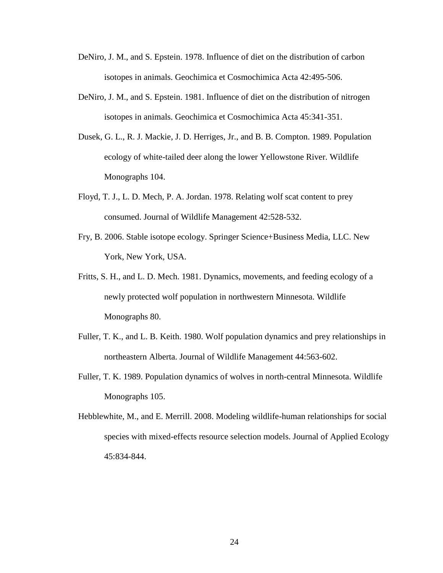- DeNiro, J. M., and S. Epstein. 1978. Influence of diet on the distribution of carbon isotopes in animals. Geochimica et Cosmochimica Acta 42:495-506.
- DeNiro, J. M., and S. Epstein. 1981. Influence of diet on the distribution of nitrogen isotopes in animals. Geochimica et Cosmochimica Acta 45:341-351.
- Dusek, G. L., R. J. Mackie, J. D. Herriges, Jr., and B. B. Compton. 1989. Population ecology of white-tailed deer along the lower Yellowstone River. Wildlife Monographs 104.
- Floyd, T. J., L. D. Mech, P. A. Jordan. 1978. Relating wolf scat content to prey consumed. Journal of Wildlife Management 42:528-532.
- Fry, B. 2006. Stable isotope ecology. Springer Science+Business Media, LLC. New York, New York, USA.
- Fritts, S. H., and L. D. Mech. 1981. Dynamics, movements, and feeding ecology of a newly protected wolf population in northwestern Minnesota. Wildlife Monographs 80.
- Fuller, T. K., and L. B. Keith. 1980. Wolf population dynamics and prey relationships in northeastern Alberta. Journal of Wildlife Management 44:563-602.
- Fuller, T. K. 1989. Population dynamics of wolves in north-central Minnesota. Wildlife Monographs 105.
- Hebblewhite, M., and E. Merrill. 2008. Modeling wildlife-human relationships for social species with mixed-effects resource selection models. Journal of Applied Ecology 45:834-844.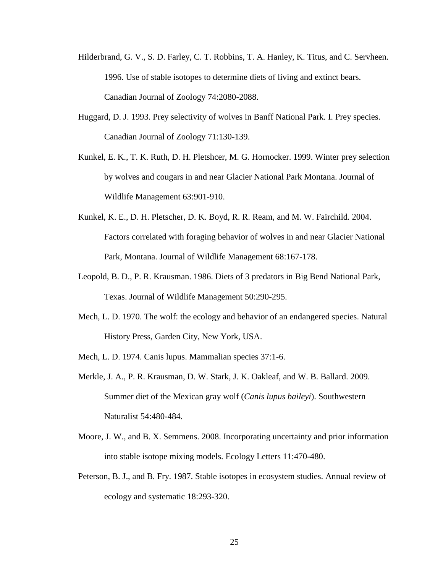- Hilderbrand, G. V., S. D. Farley, C. T. Robbins, T. A. Hanley, K. Titus, and C. Servheen. 1996. Use of stable isotopes to determine diets of living and extinct bears. Canadian Journal of Zoology 74:2080-2088.
- Huggard, D. J. 1993. Prey selectivity of wolves in Banff National Park. I. Prey species. Canadian Journal of Zoology 71:130-139.
- Kunkel, E. K., T. K. Ruth, D. H. Pletshcer, M. G. Hornocker. 1999. Winter prey selection by wolves and cougars in and near Glacier National Park Montana. Journal of Wildlife Management 63:901-910.
- Kunkel, K. E., D. H. Pletscher, D. K. Boyd, R. R. Ream, and M. W. Fairchild. 2004. Factors correlated with foraging behavior of wolves in and near Glacier National Park, Montana. Journal of Wildlife Management 68:167-178.
- Leopold, B. D., P. R. Krausman. 1986. Diets of 3 predators in Big Bend National Park, Texas. Journal of Wildlife Management 50:290-295.
- Mech, L. D. 1970. The wolf: the ecology and behavior of an endangered species. Natural History Press, Garden City, New York, USA.
- Mech, L. D. 1974. Canis lupus. Mammalian species 37:1-6.
- Merkle, J. A., P. R. Krausman, D. W. Stark, J. K. Oakleaf, and W. B. Ballard. 2009. Summer diet of the Mexican gray wolf (*Canis lupus baileyi*). Southwestern Naturalist 54:480-484.
- Moore, J. W., and B. X. Semmens. 2008. Incorporating uncertainty and prior information into stable isotope mixing models. Ecology Letters 11:470-480.
- Peterson, B. J., and B. Fry. 1987. Stable isotopes in ecosystem studies. Annual review of ecology and systematic 18:293-320.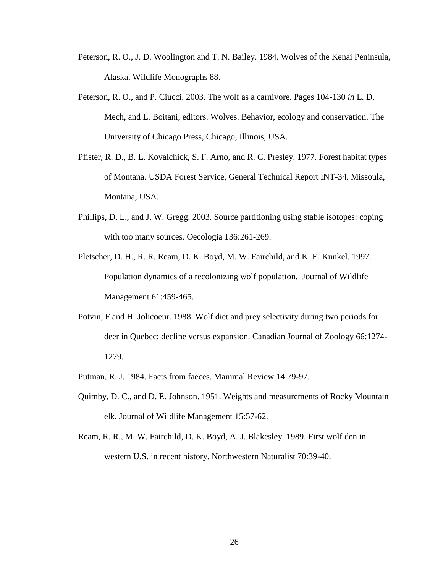- Peterson, R. O., J. D. Woolington and T. N. Bailey. 1984. Wolves of the Kenai Peninsula, Alaska. Wildlife Monographs 88.
- Peterson, R. O., and P. Ciucci. 2003. The wolf as a carnivore. Pages 104-130 *in* L. D. Mech, and L. Boitani, editors. Wolves. Behavior, ecology and conservation. The University of Chicago Press, Chicago, Illinois, USA.
- Pfister, R. D., B. L. Kovalchick, S. F. Arno, and R. C. Presley. 1977. Forest habitat types of Montana. USDA Forest Service, General Technical Report INT-34. Missoula, Montana, USA.
- Phillips, D. L., and J. W. Gregg. 2003. Source partitioning using stable isotopes: coping with too many sources. Oecologia 136:261-269.
- Pletscher, D. H., R. R. Ream, D. K. Boyd, M. W. Fairchild, and K. E. Kunkel. 1997. Population dynamics of a recolonizing wolf population. Journal of Wildlife Management 61:459-465.
- Potvin, F and H. Jolicoeur. 1988. Wolf diet and prey selectivity during two periods for deer in Quebec: decline versus expansion. Canadian Journal of Zoology 66:1274- 1279.
- Putman, R. J. 1984. Facts from faeces. Mammal Review 14:79-97.
- Quimby, D. C., and D. E. Johnson. 1951. Weights and measurements of Rocky Mountain elk. Journal of Wildlife Management 15:57-62.
- Ream, R. R., M. W. Fairchild, D. K. Boyd, A. J. Blakesley. 1989. First wolf den in western U.S. in recent history. Northwestern Naturalist 70:39-40.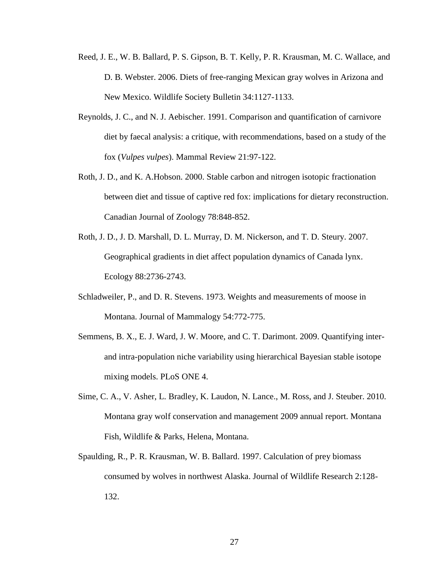- Reed, J. E., W. B. Ballard, P. S. Gipson, B. T. Kelly, P. R. Krausman, M. C. Wallace, and D. B. Webster. 2006. Diets of free-ranging Mexican gray wolves in Arizona and New Mexico. Wildlife Society Bulletin 34:1127-1133.
- Reynolds, J. C., and N. J. Aebischer. 1991. Comparison and quantification of carnivore diet by faecal analysis: a critique, with recommendations, based on a study of the fox (*Vulpes vulpes*). Mammal Review 21:97-122.
- Roth, J. D., and K. A.Hobson. 2000. Stable carbon and nitrogen isotopic fractionation between diet and tissue of captive red fox: implications for dietary reconstruction. Canadian Journal of Zoology 78:848-852.
- Roth, J. D., J. D. Marshall, D. L. Murray, D. M. Nickerson, and T. D. Steury. 2007. Geographical gradients in diet affect population dynamics of Canada lynx. Ecology 88:2736-2743.
- Schladweiler, P., and D. R. Stevens. 1973. Weights and measurements of moose in Montana. Journal of Mammalogy 54:772-775.
- Semmens, B. X., E. J. Ward, J. W. Moore, and C. T. Darimont. 2009. Quantifying interand intra-population niche variability using hierarchical Bayesian stable isotope mixing models. PLoS ONE 4.
- Sime, C. A., V. Asher, L. Bradley, K. Laudon, N. Lance., M. Ross, and J. Steuber. 2010. Montana gray wolf conservation and management 2009 annual report. Montana Fish, Wildlife & Parks, Helena, Montana.
- Spaulding, R., P. R. Krausman, W. B. Ballard. 1997. Calculation of prey biomass consumed by wolves in northwest Alaska. Journal of Wildlife Research 2:128- 132.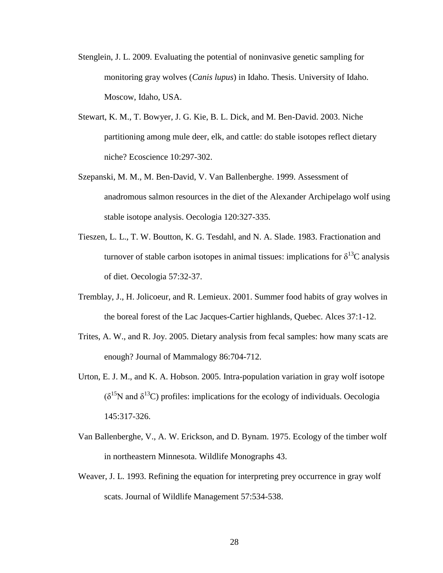- Stenglein, J. L. 2009. Evaluating the potential of noninvasive genetic sampling for monitoring gray wolves (*Canis lupus*) in Idaho. Thesis. University of Idaho. Moscow, Idaho, USA.
- Stewart, K. M., T. Bowyer, J. G. Kie, B. L. Dick, and M. Ben-David. 2003. Niche partitioning among mule deer, elk, and cattle: do stable isotopes reflect dietary niche? Ecoscience 10:297-302.
- Szepanski, M. M., M. Ben-David, V. Van Ballenberghe. 1999. Assessment of anadromous salmon resources in the diet of the Alexander Archipelago wolf using stable isotope analysis. Oecologia 120:327-335.
- Tieszen, L. L., T. W. Boutton, K. G. Tesdahl, and N. A. Slade. 1983. Fractionation and turnover of stable carbon isotopes in animal tissues: implications for  $\delta^{13}C$  analysis of diet. Oecologia 57:32-37.
- Tremblay, J., H. Jolicoeur, and R. Lemieux. 2001. Summer food habits of gray wolves in the boreal forest of the Lac Jacques-Cartier highlands, Quebec. Alces 37:1-12.
- Trites, A. W., and R. Joy. 2005. Dietary analysis from fecal samples: how many scats are enough? Journal of Mammalogy 86:704-712.
- Urton, E. J. M., and K. A. Hobson. 2005. Intra-population variation in gray wolf isotope  $(\delta^{15}N$  and  $\delta^{13}C)$  profiles: implications for the ecology of individuals. Oecologia 145:317-326.
- Van Ballenberghe, V., A. W. Erickson, and D. Bynam. 1975. Ecology of the timber wolf in northeastern Minnesota. Wildlife Monographs 43.
- Weaver, J. L. 1993. Refining the equation for interpreting prey occurrence in gray wolf scats. Journal of Wildlife Management 57:534-538.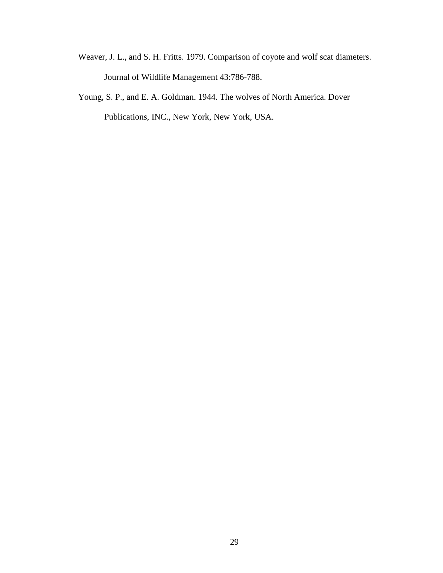- Weaver, J. L., and S. H. Fritts. 1979. Comparison of coyote and wolf scat diameters. Journal of Wildlife Management 43:786-788.
- Young, S. P., and E. A. Goldman. 1944. The wolves of North America. Dover Publications, INC., New York, New York, USA.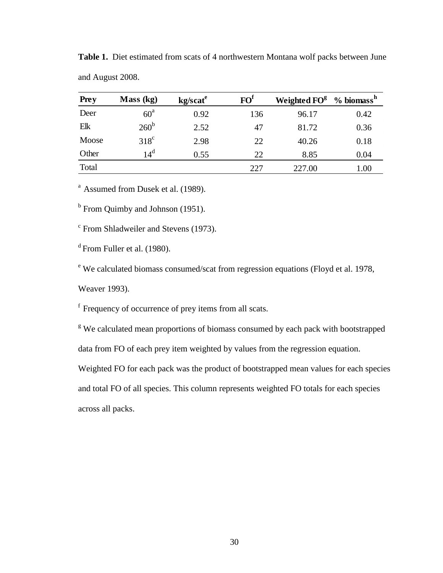| <b>Prey</b> | Mass (kg)     | kg/scat <sup>e</sup> | FO <sup>f</sup> | Weighted FO <sup>g</sup> | $% \overline{}$ biomass <sup>h</sup> |
|-------------|---------------|----------------------|-----------------|--------------------------|--------------------------------------|
| Deer        | $60^{\circ}$  | 0.92                 | 136             | 96.17                    | 0.42                                 |
| Elk         | $260^{\rm b}$ | 2.52                 | 47              | 81.72                    | 0.36                                 |
| Moose       | $318^{\circ}$ | 2.98                 | 22              | 40.26                    | 0.18                                 |
| Other       | $14^d$        | 0.55                 | 22              | 8.85                     | 0.04                                 |
| Total       |               |                      | 227             | 227.00                   | 1.00                                 |

**Table 1.** Diet estimated from scats of 4 northwestern Montana wolf packs between June and August 2008.

<sup>a</sup> Assumed from Dusek et al. (1989).

<sup>b</sup> From Quimby and Johnson (1951).

<sup>c</sup> From Shladweiler and Stevens (1973).

<sup>d</sup> From Fuller et al. (1980).

<sup>e</sup> We calculated biomass consumed/scat from regression equations (Floyd et al. 1978,

Weaver 1993).

f Frequency of occurrence of prey items from all scats.

<sup>g</sup> We calculated mean proportions of biomass consumed by each pack with bootstrapped

data from FO of each prey item weighted by values from the regression equation.

Weighted FO for each pack was the product of bootstrapped mean values for each species

and total FO of all species. This column represents weighted FO totals for each species across all packs.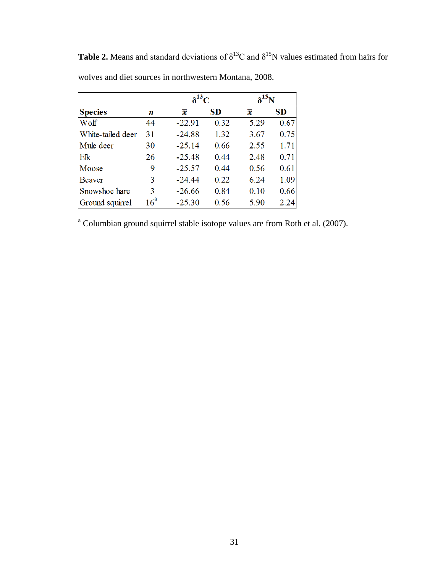|                   |                 |          | $\delta^{13}C$ |      |           |
|-------------------|-----------------|----------|----------------|------|-----------|
| <b>Species</b>    | n               | x        | <b>SD</b>      | x    | <b>SD</b> |
| Wolf              | 44              | $-22.91$ | 0.32           | 5.29 | 0.67      |
| White-tailed deer | 31              | $-24.88$ | 1.32           | 3.67 | 0.75      |
| Mule deer         | 30              | $-25.14$ | 0.66           | 2.55 | 1.71      |
| Elk               | 26              | $-25.48$ | 0.44           | 2.48 | 0.71      |
| Moose             | 9               | $-25.57$ | 0.44           | 0.56 | 0.61      |
| <b>Beaver</b>     | 3               | $-24.44$ | 0.22           | 6.24 | 1.09      |
| Snowshoe hare     | 3               | $-26.66$ | 0.84           | 0.10 | 0.66      |
| Ground squirrel   | 16 <sup>a</sup> | $-25.30$ | 0.56           | 5.90 | 2.24      |

**Table 2.** Means and standard deviations of  $\delta^{13}$ C and  $\delta^{15}$ N values estimated from hairs for wolves and diet sources in northwestern Montana, 2008.

<sup>a</sup> Columbian ground squirrel stable isotope values are from Roth et al. (2007).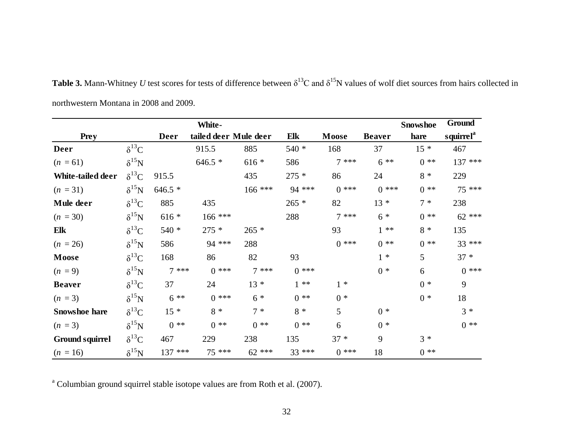|                        |                |             | White-                |           |         |        |               | <b>Snowshoe</b> | Ground                |
|------------------------|----------------|-------------|-----------------------|-----------|---------|--------|---------------|-----------------|-----------------------|
| <b>Prey</b>            |                | <b>Deer</b> | tailed deer Mule deer |           | Elk     | Moose  | <b>Beaver</b> | hare            | squirrel <sup>a</sup> |
| Deer                   | $\delta^{13}C$ |             | 915.5                 | 885       | 540 *   | 168    | 37            | $15 *$          | 467                   |
| $(n = 61)$             | $\delta^{15}N$ |             | $646.5*$              | $616 *$   | 586     | $7***$ | $6***$        | $0$ **          | 137 ***               |
| White-tailed deer      | $\delta^{13}C$ | 915.5       |                       | 435       | $275 *$ | 86     | 24            | $8 *$           | 229                   |
| $(n = 31)$             | $\delta^{15}N$ | $646.5*$    |                       | $166$ *** | 94 ***  | $0***$ | $0***$        | $0$ **          | 75 ***                |
| Mule deer              | $\delta^{13}C$ | 885         | 435                   |           | $265 *$ | 82     | $13 *$        | $7 *$           | 238                   |
| $(n = 30)$             | $\delta^{15}N$ | $616 *$     | 166 ***               |           | 288     | $7***$ | $6 *$         | $0$ **          | $62$ ***              |
| Elk                    | $\delta^{13}C$ | 540 *       | $275 *$               | $265 *$   |         | 93     | $1**$         | $8 *$           | 135                   |
| $(n = 26)$             | $\delta^{15}N$ | 586         | 94 ***                | 288       |         | $0***$ | $0$ **        | $0$ **          | 33 ***                |
| Moose                  | $\delta^{13}C$ | 168         | 86                    | 82        | 93      |        | $1 *$         | 5               | $37 *$                |
| $(n = 9)$              | $\delta^{15}N$ | $7***$      | $0***$                | $7***$    | $0***$  |        | $0 *$         | 6               | $0***$                |
| <b>Beaver</b>          | $\delta^{13}C$ | 37          | 24                    | $13 *$    | $1 * *$ | $1 *$  |               | $0 *$           | 9                     |
| $(n = 3)$              | $\delta^{15}N$ | $6***$      | $0***$                | $6 *$     | $0 * *$ | $0 *$  |               | $0 *$           | 18                    |
| <b>Snowshoe hare</b>   | $\delta^{13}C$ | $15 *$      | $8 *$                 | $7 *$     | $8 *$   | 5      | $0 *$         |                 | $3 *$                 |
| $(n = 3)$              | $\delta^{15}N$ | $0 * *$     | $0$ **                | $0$ **    | $0$ **  | 6      | $0 *$         |                 | $0 * *$               |
| <b>Ground squirrel</b> | $\delta^{13}C$ | 467         | 229                   | 238       | 135     | $37 *$ | 9             | $3 *$           |                       |
| $(n = 16)$             | $\delta^{15}N$ | 137 ***     | 75 ***                | $62$ ***  | 33 ***  | $0***$ | 18            | $0**$           |                       |

**Table 3.** Mann-Whitney *U* test scores for tests of difference between  $\delta^{13}C$  and  $\delta^{15}N$  values of wolf diet sources from hairs collected in northwestern Montana in 2008 and 2009.

<sup>a</sup> Columbian ground squirrel stable isotope values are from Roth et al. (2007).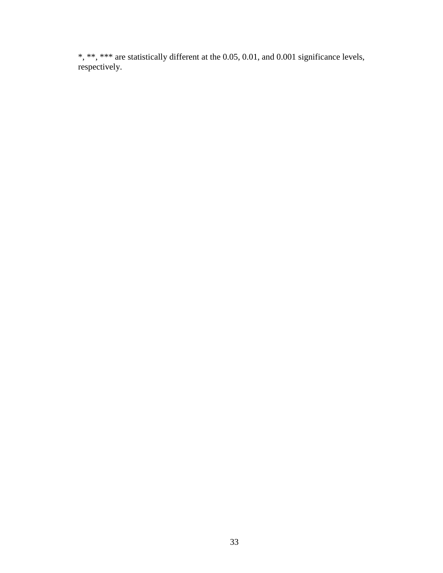\*, \*\*, \*\*\* are statistically different at the 0.05, 0.01, and 0.001 significance levels, respectively.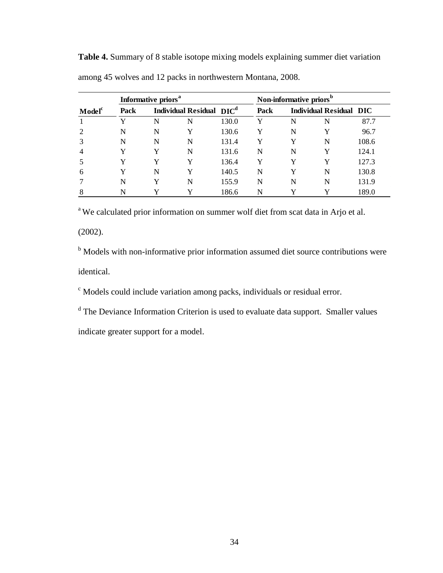|                    |      | Informative priors <sup>a</sup> |                                      |       |      | Non-informative priors <sup>b</sup> |                                |       |  |
|--------------------|------|---------------------------------|--------------------------------------|-------|------|-------------------------------------|--------------------------------|-------|--|
| Model <sup>c</sup> | Pack |                                 | Individual Residual DIC <sup>d</sup> |       | Pack |                                     | <b>Individual Residual DIC</b> |       |  |
|                    | Y    | N                               | N                                    | 130.0 | Y    | N                                   | N                              | 87.7  |  |
|                    | N    | N                               | Y                                    | 130.6 | Y    | N                                   | Y                              | 96.7  |  |
|                    | N    | N                               | N                                    | 131.4 | Y    | Y                                   | N                              | 108.6 |  |
|                    | Y    | Y                               | N                                    | 131.6 | N    | N                                   | Y                              | 124.1 |  |
|                    | Y    | v                               | Y                                    | 136.4 | Y    | Y                                   | Y                              | 127.3 |  |
| 6                  | Y    | N                               |                                      | 140.5 | N    | Y                                   | N                              | 130.8 |  |
|                    | N    | v                               | N                                    | 155.9 | N    | N                                   | N                              | 131.9 |  |
| 8                  | N    |                                 |                                      | 186.6 | N    | v                                   |                                | 189.0 |  |

**Table 4.** Summary of 8 stable isotope mixing models explaining summer diet variation among 45 wolves and 12 packs in northwestern Montana, 2008.

<sup>a</sup> We calculated prior information on summer wolf diet from scat data in Arjo et al.

(2002).

<sup>b</sup> Models with non-informative prior information assumed diet source contributions were identical.

<sup>c</sup> Models could include variation among packs, individuals or residual error.

<sup>d</sup> The Deviance Information Criterion is used to evaluate data support. Smaller values

indicate greater support for a model.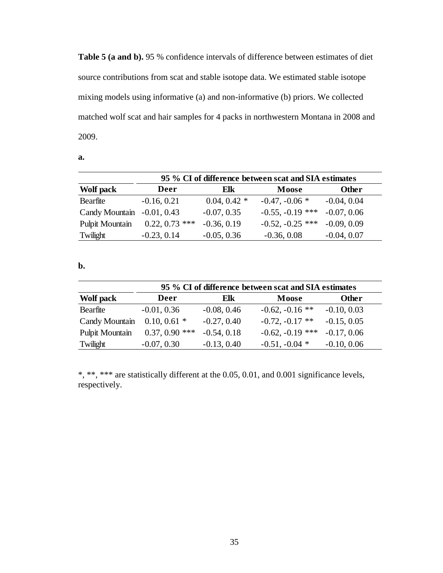**Table 5 (a and b).** 95 % confidence intervals of difference between estimates of diet source contributions from scat and stable isotope data. We estimated stable isotope mixing models using informative (a) and non-informative (b) priors. We collected matched wolf scat and hair samples for 4 packs in northwestern Montana in 2008 and 2009.

| I<br>I<br>I<br>.<br>. . |  |
|-------------------------|--|
|                         |  |

|                 | 95 % CI of difference between scat and SIA estimates |                |                    |               |  |  |  |
|-----------------|------------------------------------------------------|----------------|--------------------|---------------|--|--|--|
| Wolf pack       | Deer                                                 | Elk            | Moose              | <b>Other</b>  |  |  |  |
| Bearfite        | $-0.16, 0.21$                                        | $0.04, 0.42$ * | $-0.47, -0.06*$    | $-0.04, 0.04$ |  |  |  |
| Candy Mountain  | $-0.01, 0.43$                                        | $-0.07, 0.35$  | $-0.55, -0.19$ *** | $-0.07, 0.06$ |  |  |  |
| Pulpit Mountain | $0.22, 0.73$ ***                                     | $-0.36, 0.19$  | $-0.52, -0.25$ *** | $-0.09, 0.09$ |  |  |  |
| Twilight        | $-0.23, 0.14$                                        | $-0.05, 0.36$  | $-0.36, 0.08$      | $-0.04, 0.07$ |  |  |  |

#### **b.**

| 95 % CI of difference between scat and SIA estimates |                  |               |                    |               |  |  |
|------------------------------------------------------|------------------|---------------|--------------------|---------------|--|--|
| Wolf pack                                            | Deer             | Elk           | <b>Moose</b>       | <b>Other</b>  |  |  |
| Bearfite                                             | $-0.01, 0.36$    | $-0.08, 0.46$ | $-0.62, -0.16$ **  | $-0.10, 0.03$ |  |  |
| Candy Mountain                                       | $0.10, 0.61$ *   | $-0.27, 0.40$ | $-0.72, -0.17$ **  | $-0.15, 0.05$ |  |  |
| Pulpit Mountain                                      | $0.37, 0.90$ *** | $-0.54, 0.18$ | $-0.62, -0.19$ *** | $-0.17, 0.06$ |  |  |
| Twilight                                             | $-0.07, 0.30$    | $-0.13, 0.40$ | $-0.51, -0.04$ *   | $-0.10, 0.06$ |  |  |

\*, \*\*, \*\*\* are statistically different at the 0.05, 0.01, and 0.001 significance levels, respectively.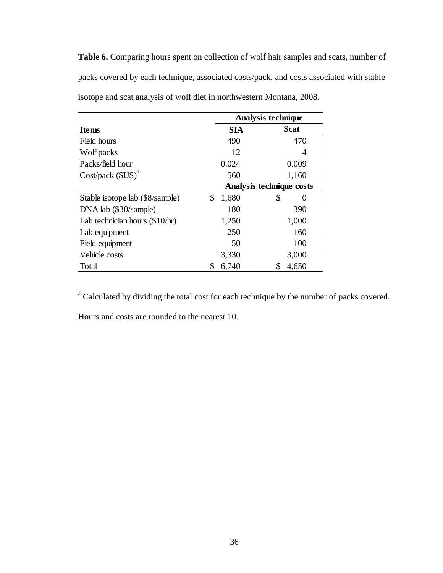**Table 6.** Comparing hours spent on collection of wolf hair samples and scats, number of packs covered by each technique, associated costs/pack, and costs associated with stable isotope and scat analysis of wolf diet in northwestern Montana, 2008.

|                                  | <b>Analysis technique</b> |             |  |  |  |
|----------------------------------|---------------------------|-------------|--|--|--|
| <b>Items</b>                     | <b>SIA</b>                | <b>Scat</b> |  |  |  |
| Field hours                      | 490                       | 470         |  |  |  |
| Wolf packs                       | 12                        | 4           |  |  |  |
| Packs/field hour                 | 0.024                     | 0.009       |  |  |  |
| $Cost / pack(SUS)^{a}$           | 560                       | 1,160       |  |  |  |
|                                  | Analysis technique costs  |             |  |  |  |
| Stable isotope lab (\$8/sample)  | \$<br>1,680               | \$<br>0     |  |  |  |
| DNA lab (\$30/sample)            | 180                       | 390         |  |  |  |
| Lab technician hours $(\$10/hr)$ | 1,250                     | 1,000       |  |  |  |
| Lab equipment                    | 250                       | 160         |  |  |  |
| Field equipment                  | 50                        | 100         |  |  |  |
| Vehicle costs                    | 3,330                     | 3,000       |  |  |  |
| Total                            | \$<br>6,740               | \$<br>4,650 |  |  |  |

<sup>a</sup> Calculated by dividing the total cost for each technique by the number of packs covered.

Hours and costs are rounded to the nearest 10.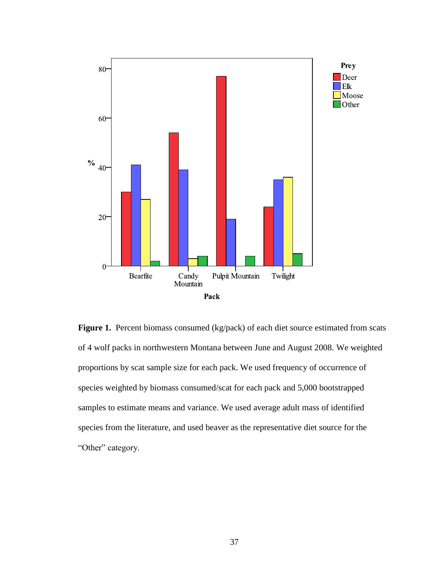

Figure 1. Percent biomass consumed (kg/pack) of each diet source estimated from scats of 4 wolf packs in northwestern Montana between June and August 2008. We weighted proportions by scat sample size for each pack. We used frequency of occurrence of species weighted by biomass consumed/scat for each pack and 5,000 bootstrapped samples to estimate means and variance. We used average adult mass of identified species from the literature, and used beaver as the representative diet source for the "Other" category.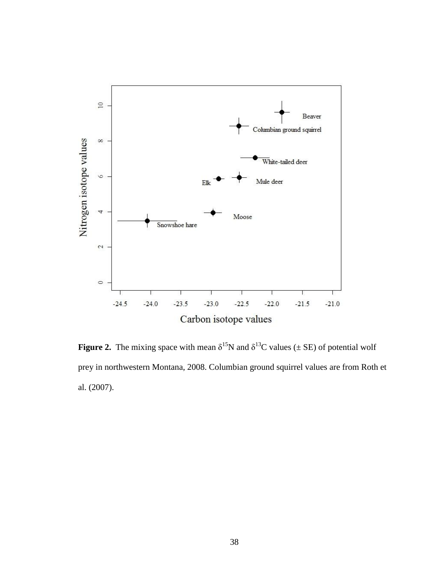

**Figure 2.** The mixing space with mean  $\delta^{15}N$  and  $\delta^{13}C$  values ( $\pm$  SE) of potential wolf prey in northwestern Montana, 2008. Columbian ground squirrel values are from Roth et al. (2007).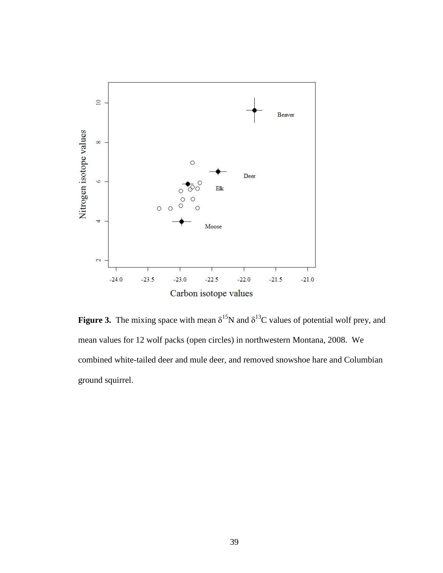

**Figure 3.** The mixing space with mean  $\delta^{15}N$  and  $\delta^{13}C$  values of potential wolf prey, and mean values for 12 wolf packs (open circles) in northwestern Montana, 2008. We combined white-tailed deer and mule deer, and removed snowshoe hare and Columbian ground squirrel.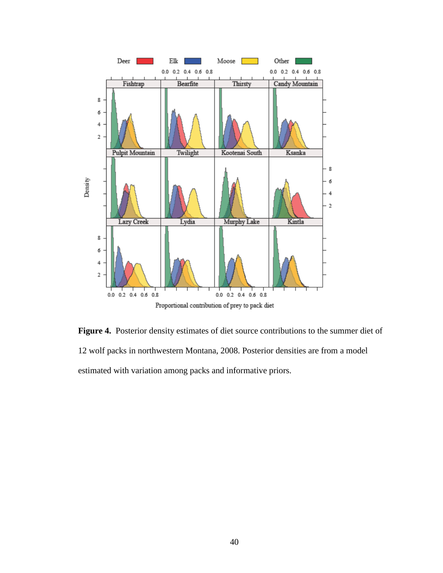

**Figure 4.** Posterior density estimates of diet source contributions to the summer diet of 12 wolf packs in northwestern Montana, 2008. Posterior densities are from a model estimated with variation among packs and informative priors.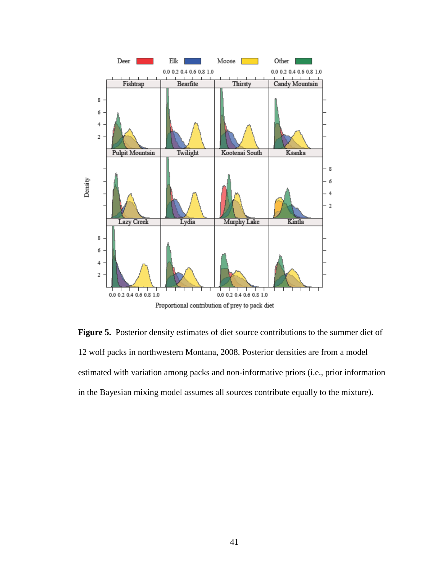

**Figure 5.** Posterior density estimates of diet source contributions to the summer diet of 12 wolf packs in northwestern Montana, 2008. Posterior densities are from a model estimated with variation among packs and non-informative priors (i.e., prior information in the Bayesian mixing model assumes all sources contribute equally to the mixture).